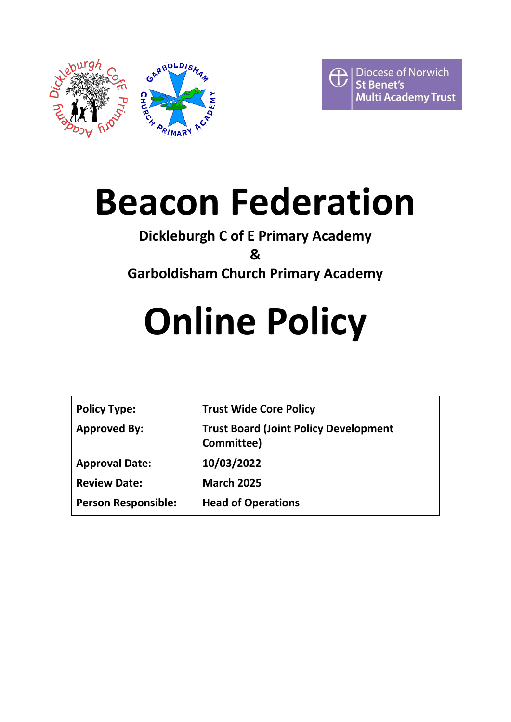



## **Beacon Federation**

## **Dickleburgh C of E Primary Academy**

**&**

**Garboldisham Church Primary Academy**

# **Online Policy**

| <b>Policy Type:</b>        | <b>Trust Wide Core Policy</b>                              |
|----------------------------|------------------------------------------------------------|
| <b>Approved By:</b>        | <b>Trust Board (Joint Policy Development</b><br>Committee) |
| <b>Approval Date:</b>      | 10/03/2022                                                 |
| <b>Review Date:</b>        | <b>March 2025</b>                                          |
| <b>Person Responsible:</b> | <b>Head of Operations</b>                                  |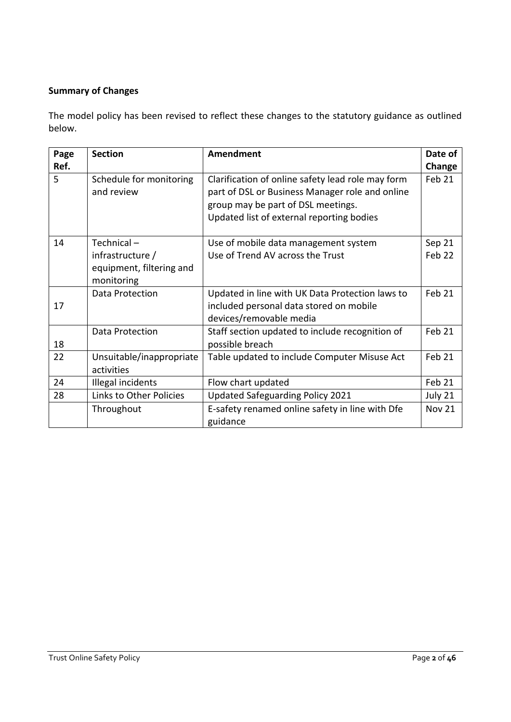#### **Summary of Changes**

The model policy has been revised to reflect these changes to the statutory guidance as outlined below.

| Page | <b>Section</b>                                             | <b>Amendment</b>                                                                                                                                                                        | Date of       |
|------|------------------------------------------------------------|-----------------------------------------------------------------------------------------------------------------------------------------------------------------------------------------|---------------|
| Ref. |                                                            |                                                                                                                                                                                         | Change        |
| 5    | Schedule for monitoring<br>and review                      | Clarification of online safety lead role may form<br>part of DSL or Business Manager role and online<br>group may be part of DSL meetings.<br>Updated list of external reporting bodies | Feb 21        |
| 14   | Technical-                                                 | Use of mobile data management system                                                                                                                                                    | Sep 21        |
|      | infrastructure /<br>equipment, filtering and<br>monitoring | Use of Trend AV across the Trust                                                                                                                                                        | Feb 22        |
|      | Data Protection                                            | Updated in line with UK Data Protection laws to                                                                                                                                         | Feb 21        |
| 17   |                                                            | included personal data stored on mobile<br>devices/removable media                                                                                                                      |               |
| 18   | Data Protection                                            | Staff section updated to include recognition of<br>possible breach                                                                                                                      | Feb 21        |
| 22   | Unsuitable/inappropriate<br>activities                     | Table updated to include Computer Misuse Act                                                                                                                                            | Feb 21        |
| 24   | Illegal incidents                                          | Flow chart updated                                                                                                                                                                      | Feb 21        |
| 28   | Links to Other Policies                                    | Updated Safeguarding Policy 2021                                                                                                                                                        | July 21       |
|      | Throughout                                                 | E-safety renamed online safety in line with Dfe<br>guidance                                                                                                                             | <b>Nov 21</b> |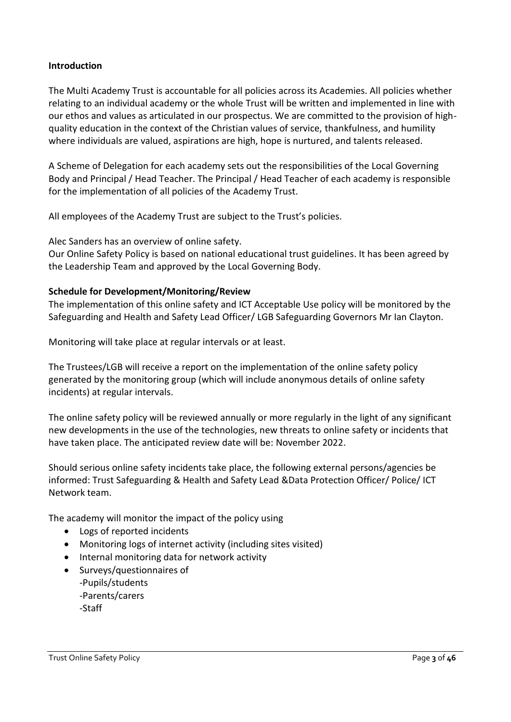#### **Introduction**

The Multi Academy Trust is accountable for all policies across its Academies. All policies whether relating to an individual academy or the whole Trust will be written and implemented in line with our ethos and values as articulated in our prospectus. We are committed to the provision of highquality education in the context of the Christian values of service, thankfulness, and humility where individuals are valued, aspirations are high, hope is nurtured, and talents released.

A Scheme of Delegation for each academy sets out the responsibilities of the Local Governing Body and Principal / Head Teacher. The Principal / Head Teacher of each academy is responsible for the implementation of all policies of the Academy Trust.

All employees of the Academy Trust are subject to the Trust's policies.

Alec Sanders has an overview of online safety.

Our Online Safety Policy is based on national educational trust guidelines. It has been agreed by the Leadership Team and approved by the Local Governing Body.

#### **Schedule for Development/Monitoring/Review**

The implementation of this online safety and ICT Acceptable Use policy will be monitored by the Safeguarding and Health and Safety Lead Officer/ LGB Safeguarding Governors Mr Ian Clayton.

Monitoring will take place at regular intervals or at least.

The Trustees/LGB will receive a report on the implementation of the online safety policy generated by the monitoring group (which will include anonymous details of online safety incidents) at regular intervals.

The online safety policy will be reviewed annually or more regularly in the light of any significant new developments in the use of the technologies, new threats to online safety or incidents that have taken place. The anticipated review date will be: November 2022.

Should serious online safety incidents take place, the following external persons/agencies be informed: Trust Safeguarding & Health and Safety Lead &Data Protection Officer/ Police/ ICT Network team.

The academy will monitor the impact of the policy using

- Logs of reported incidents
- Monitoring logs of internet activity (including sites visited)
- Internal monitoring data for network activity
- Surveys/questionnaires of -Pupils/students -Parents/carers -Staff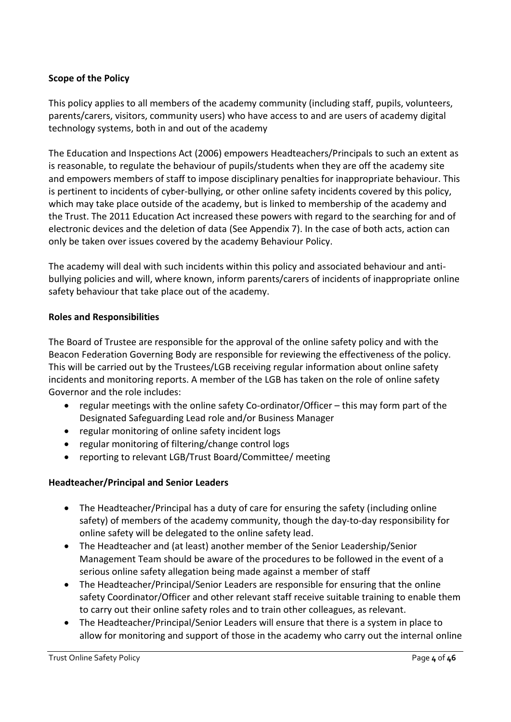#### **Scope of the Policy**

This policy applies to all members of the academy community (including staff, pupils, volunteers, parents/carers, visitors, community users) who have access to and are users of academy digital technology systems, both in and out of the academy

The Education and Inspections Act (2006) empowers Headteachers/Principals to such an extent as is reasonable, to regulate the behaviour of pupils/students when they are off the academy site and empowers members of staff to impose disciplinary penalties for inappropriate behaviour. This is pertinent to incidents of cyber-bullying, or other online safety incidents covered by this policy, which may take place outside of the academy, but is linked to membership of the academy and the Trust. The 2011 Education Act increased these powers with regard to the searching for and of electronic devices and the deletion of data (See Appendix 7). In the case of both acts, action can only be taken over issues covered by the academy Behaviour Policy.

The academy will deal with such incidents within this policy and associated behaviour and antibullying policies and will, where known, inform parents/carers of incidents of inappropriate online safety behaviour that take place out of the academy.

#### **Roles and Responsibilities**

The Board of Trustee are responsible for the approval of the online safety policy and with the Beacon Federation Governing Body are responsible for reviewing the effectiveness of the policy. This will be carried out by the Trustees/LGB receiving regular information about online safety incidents and monitoring reports. A member of the LGB has taken on the role of online safety Governor and the role includes:

- regular meetings with the online safety Co-ordinator/Officer this may form part of the Designated Safeguarding Lead role and/or Business Manager
- regular monitoring of online safety incident logs
- regular monitoring of filtering/change control logs
- reporting to relevant LGB/Trust Board/Committee/ meeting

#### **Headteacher/Principal and Senior Leaders**

- The Headteacher/Principal has a duty of care for ensuring the safety (including online safety) of members of the academy community, though the day-to-day responsibility for online safety will be delegated to the online safety lead.
- The Headteacher and (at least) another member of the Senior Leadership/Senior Management Team should be aware of the procedures to be followed in the event of a serious online safety allegation being made against a member of staff
- The Headteacher/Principal/Senior Leaders are responsible for ensuring that the online safety Coordinator/Officer and other relevant staff receive suitable training to enable them to carry out their online safety roles and to train other colleagues, as relevant.
- The Headteacher/Principal/Senior Leaders will ensure that there is a system in place to allow for monitoring and support of those in the academy who carry out the internal online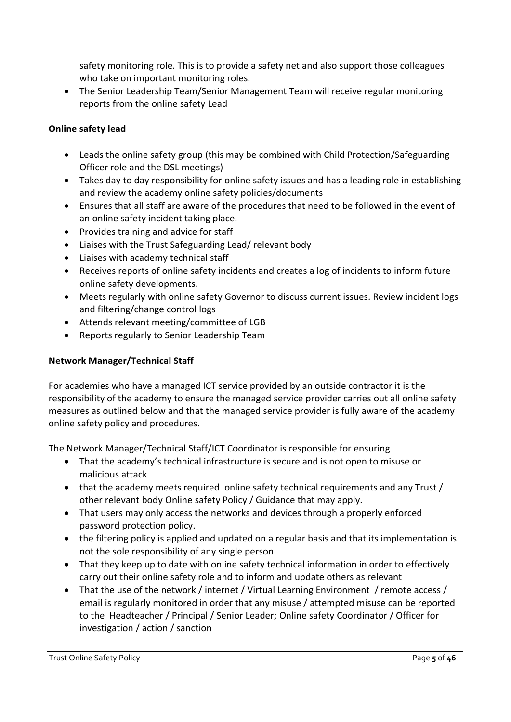safety monitoring role. This is to provide a safety net and also support those colleagues who take on important monitoring roles.

• The Senior Leadership Team/Senior Management Team will receive regular monitoring reports from the online safety Lead

#### **Online safety lead**

- Leads the online safety group (this may be combined with Child Protection/Safeguarding Officer role and the DSL meetings)
- Takes day to day responsibility for online safety issues and has a leading role in establishing and review the academy online safety policies/documents
- Ensures that all staff are aware of the procedures that need to be followed in the event of an online safety incident taking place.
- Provides training and advice for staff
- Liaises with the Trust Safeguarding Lead/ relevant body
- Liaises with academy technical staff
- Receives reports of online safety incidents and creates a log of incidents to inform future online safety developments.
- Meets regularly with online safety Governor to discuss current issues. Review incident logs and filtering/change control logs
- Attends relevant meeting/committee of LGB
- Reports regularly to Senior Leadership Team

#### **Network Manager/Technical Staff**

For academies who have a managed ICT service provided by an outside contractor it is the responsibility of the academy to ensure the managed service provider carries out all online safety measures as outlined below and that the managed service provider is fully aware of the academy online safety policy and procedures.

The Network Manager/Technical Staff/ICT Coordinator is responsible for ensuring

- That the academy's technical infrastructure is secure and is not open to misuse or malicious attack
- that the academy meets required online safety technical requirements and any Trust / other relevant body Online safety Policy / Guidance that may apply.
- That users may only access the networks and devices through a properly enforced password protection policy.
- the filtering policy is applied and updated on a regular basis and that its implementation is not the sole responsibility of any single person
- That they keep up to date with online safety technical information in order to effectively carry out their online safety role and to inform and update others as relevant
- That the use of the network / internet / Virtual Learning Environment / remote access / email is regularly monitored in order that any misuse / attempted misuse can be reported to the Headteacher / Principal / Senior Leader; Online safety Coordinator / Officer for investigation / action / sanction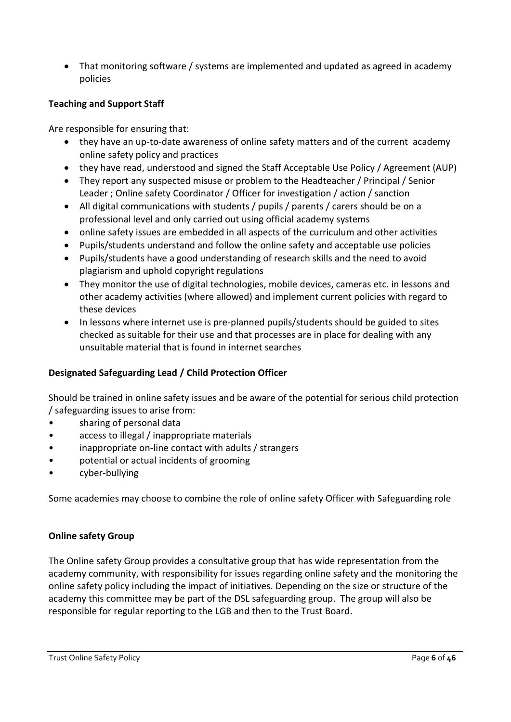• That monitoring software / systems are implemented and updated as agreed in academy policies

#### **Teaching and Support Staff**

Are responsible for ensuring that:

- they have an up-to-date awareness of online safety matters and of the current academy online safety policy and practices
- they have read, understood and signed the Staff Acceptable Use Policy / Agreement (AUP)
- They report any suspected misuse or problem to the Headteacher / Principal / Senior Leader ; Online safety Coordinator / Officer for investigation / action / sanction
- All digital communications with students / pupils / parents / carers should be on a professional level and only carried out using official academy systems
- online safety issues are embedded in all aspects of the curriculum and other activities
- Pupils/students understand and follow the online safety and acceptable use policies
- Pupils/students have a good understanding of research skills and the need to avoid plagiarism and uphold copyright regulations
- They monitor the use of digital technologies, mobile devices, cameras etc. in lessons and other academy activities (where allowed) and implement current policies with regard to these devices
- In lessons where internet use is pre-planned pupils/students should be guided to sites checked as suitable for their use and that processes are in place for dealing with any unsuitable material that is found in internet searches

#### **Designated Safeguarding Lead / Child Protection Officer**

Should be trained in online safety issues and be aware of the potential for serious child protection / safeguarding issues to arise from:

- sharing of personal data
- access to illegal / inappropriate materials
- inappropriate on-line contact with adults / strangers
- potential or actual incidents of grooming
- cyber-bullying

Some academies may choose to combine the role of online safety Officer with Safeguarding role

#### **Online safety Group**

The Online safety Group provides a consultative group that has wide representation from the academy community, with responsibility for issues regarding online safety and the monitoring the online safety policy including the impact of initiatives. Depending on the size or structure of the academy this committee may be part of the DSL safeguarding group. The group will also be responsible for regular reporting to the LGB and then to the Trust Board.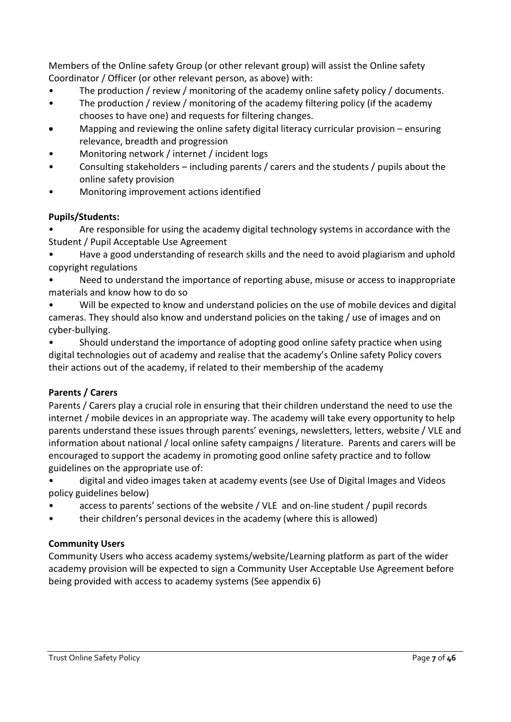Members of the Online safety Group (or other relevant group) will assist the Online safety Coordinator / Officer (or other relevant person, as above) with:

- The production / review / monitoring of the academy online safety policy / documents.
- The production / review / monitoring of the academy filtering policy (if the academy chooses to have one) and requests for filtering changes.
- Mapping and reviewing the online safety digital literacy curricular provision ensuring relevance, breadth and progression
- Monitoring network / internet / incident logs
- Consulting stakeholders including parents / carers and the students / pupils about the online safety provision
- Monitoring improvement actions identified

#### **Pupils/Students:**

• Are responsible for using the academy digital technology systems in accordance with the Student / Pupil Acceptable Use Agreement

• Have a good understanding of research skills and the need to avoid plagiarism and uphold copyright regulations

Need to understand the importance of reporting abuse, misuse or access to inappropriate materials and know how to do so

Will be expected to know and understand policies on the use of mobile devices and digital cameras. They should also know and understand policies on the taking / use of images and on cyber-bullying.

Should understand the importance of adopting good online safety practice when using digital technologies out of academy and realise that the academy's Online safety Policy covers their actions out of the academy, if related to their membership of the academy

#### **Parents / Carers**

Parents / Carers play a crucial role in ensuring that their children understand the need to use the internet / mobile devices in an appropriate way. The academy will take every opportunity to help parents understand these issues through parents' evenings, newsletters, letters, website / VLE and information about national / local online safety campaigns / literature. Parents and carers will be encouraged to support the academy in promoting good online safety practice and to follow guidelines on the appropriate use of:

• digital and video images taken at academy events (see Use of Digital Images and Videos policy guidelines below)

- access to parents' sections of the website / VLE and on-line student / pupil records
- their children's personal devices in the academy (where this is allowed)

#### **Community Users**

Community Users who access academy systems/website/Learning platform as part of the wider academy provision will be expected to sign a Community User Acceptable Use Agreement before being provided with access to academy systems (See appendix 6)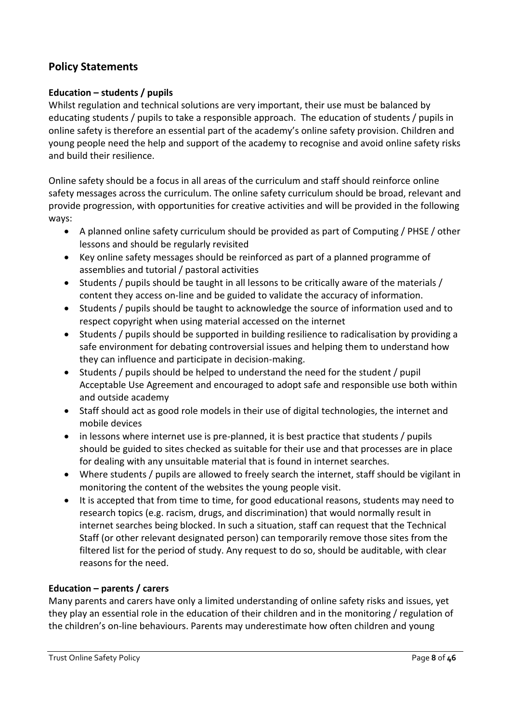#### **Policy Statements**

#### **Education – students / pupils**

Whilst regulation and technical solutions are very important, their use must be balanced by educating students / pupils to take a responsible approach. The education of students / pupils in online safety is therefore an essential part of the academy's online safety provision. Children and young people need the help and support of the academy to recognise and avoid online safety risks and build their resilience.

Online safety should be a focus in all areas of the curriculum and staff should reinforce online safety messages across the curriculum. The online safety curriculum should be broad, relevant and provide progression, with opportunities for creative activities and will be provided in the following ways:

- A planned online safety curriculum should be provided as part of Computing / PHSE / other lessons and should be regularly revisited
- Key online safety messages should be reinforced as part of a planned programme of assemblies and tutorial / pastoral activities
- Students / pupils should be taught in all lessons to be critically aware of the materials / content they access on-line and be guided to validate the accuracy of information.
- Students / pupils should be taught to acknowledge the source of information used and to respect copyright when using material accessed on the internet
- Students / pupils should be supported in building resilience to radicalisation by providing a safe environment for debating controversial issues and helping them to understand how they can influence and participate in decision-making.
- Students / pupils should be helped to understand the need for the student / pupil Acceptable Use Agreement and encouraged to adopt safe and responsible use both within and outside academy
- Staff should act as good role models in their use of digital technologies, the internet and mobile devices
- in lessons where internet use is pre-planned, it is best practice that students / pupils should be guided to sites checked as suitable for their use and that processes are in place for dealing with any unsuitable material that is found in internet searches.
- Where students / pupils are allowed to freely search the internet, staff should be vigilant in monitoring the content of the websites the young people visit.
- It is accepted that from time to time, for good educational reasons, students may need to research topics (e.g. racism, drugs, and discrimination) that would normally result in internet searches being blocked. In such a situation, staff can request that the Technical Staff (or other relevant designated person) can temporarily remove those sites from the filtered list for the period of study. Any request to do so, should be auditable, with clear reasons for the need.

#### **Education – parents / carers**

Many parents and carers have only a limited understanding of online safety risks and issues, yet they play an essential role in the education of their children and in the monitoring / regulation of the children's on-line behaviours. Parents may underestimate how often children and young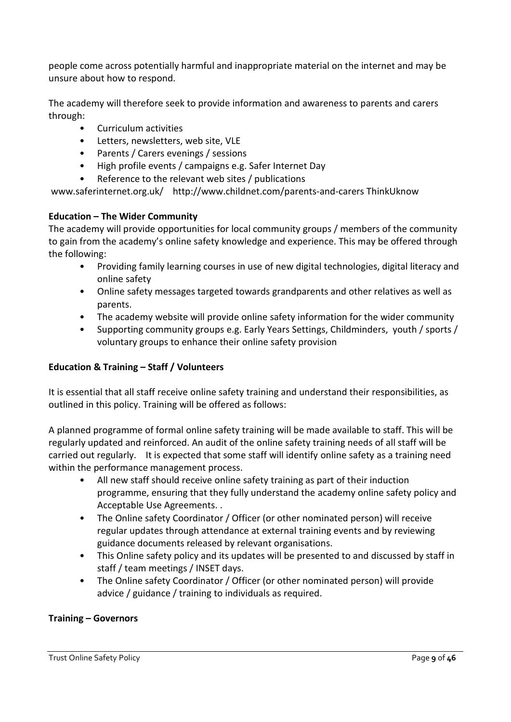people come across potentially harmful and inappropriate material on the internet and may be unsure about how to respond.

The academy will therefore seek to provide information and awareness to parents and carers through:

- Curriculum activities
- Letters, newsletters, web site, VLE
- Parents / Carers evenings / sessions
- High profile events / campaigns e.g. Safer Internet Day
- Reference to the relevant web sites / publications

www.saferinternet.org.uk/ http://www.childnet.com/parents-and-carers ThinkUknow

#### **Education – The Wider Community**

The academy will provide opportunities for local community groups / members of the community to gain from the academy's online safety knowledge and experience. This may be offered through the following:

- Providing family learning courses in use of new digital technologies, digital literacy and online safety
- Online safety messages targeted towards grandparents and other relatives as well as parents.
- The academy website will provide online safety information for the wider community
- Supporting community groups e.g. Early Years Settings, Childminders, youth / sports / voluntary groups to enhance their online safety provision

#### **Education & Training – Staff / Volunteers**

It is essential that all staff receive online safety training and understand their responsibilities, as outlined in this policy. Training will be offered as follows:

A planned programme of formal online safety training will be made available to staff. This will be regularly updated and reinforced. An audit of the online safety training needs of all staff will be carried out regularly. It is expected that some staff will identify online safety as a training need within the performance management process.

- All new staff should receive online safety training as part of their induction programme, ensuring that they fully understand the academy online safety policy and Acceptable Use Agreements. .
- The Online safety Coordinator / Officer (or other nominated person) will receive regular updates through attendance at external training events and by reviewing guidance documents released by relevant organisations.
- This Online safety policy and its updates will be presented to and discussed by staff in staff / team meetings / INSET days.
- The Online safety Coordinator / Officer (or other nominated person) will provide advice / guidance / training to individuals as required.

#### **Training – Governors**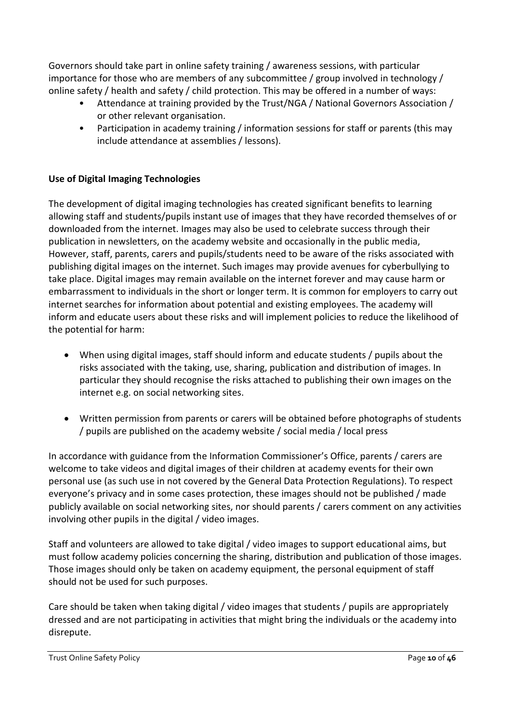Governors should take part in online safety training / awareness sessions, with particular importance for those who are members of any subcommittee / group involved in technology / online safety / health and safety / child protection. This may be offered in a number of ways:

- Attendance at training provided by the Trust/NGA / National Governors Association / or other relevant organisation.
- Participation in academy training / information sessions for staff or parents (this may include attendance at assemblies / lessons).

#### **Use of Digital Imaging Technologies**

The development of digital imaging technologies has created significant benefits to learning allowing staff and students/pupils instant use of images that they have recorded themselves of or downloaded from the internet. Images may also be used to celebrate success through their publication in newsletters, on the academy website and occasionally in the public media, However, staff, parents, carers and pupils/students need to be aware of the risks associated with publishing digital images on the internet. Such images may provide avenues for cyberbullying to take place. Digital images may remain available on the internet forever and may cause harm or embarrassment to individuals in the short or longer term. It is common for employers to carry out internet searches for information about potential and existing employees. The academy will inform and educate users about these risks and will implement policies to reduce the likelihood of the potential for harm:

- When using digital images, staff should inform and educate students / pupils about the risks associated with the taking, use, sharing, publication and distribution of images. In particular they should recognise the risks attached to publishing their own images on the internet e.g. on social networking sites.
- Written permission from parents or carers will be obtained before photographs of students / pupils are published on the academy website / social media / local press

In accordance with guidance from the Information Commissioner's Office, parents / carers are welcome to take videos and digital images of their children at academy events for their own personal use (as such use in not covered by the General Data Protection Regulations). To respect everyone's privacy and in some cases protection, these images should not be published / made publicly available on social networking sites, nor should parents / carers comment on any activities involving other pupils in the digital / video images.

Staff and volunteers are allowed to take digital / video images to support educational aims, but must follow academy policies concerning the sharing, distribution and publication of those images. Those images should only be taken on academy equipment, the personal equipment of staff should not be used for such purposes.

Care should be taken when taking digital / video images that students / pupils are appropriately dressed and are not participating in activities that might bring the individuals or the academy into disrepute.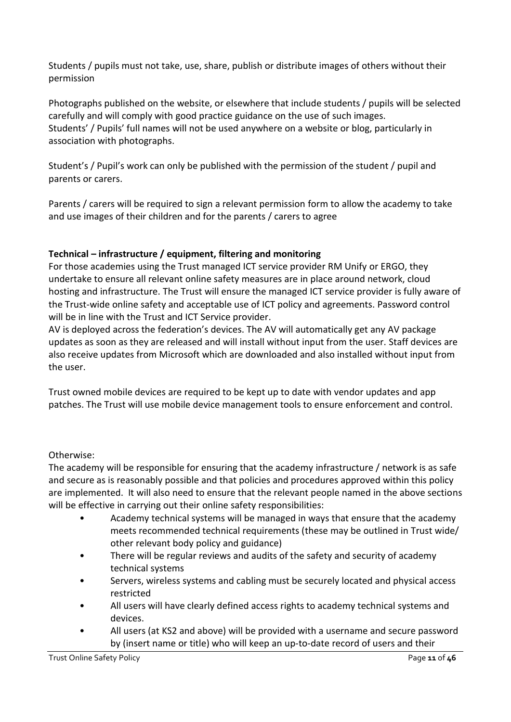Students / pupils must not take, use, share, publish or distribute images of others without their permission

Photographs published on the website, or elsewhere that include students / pupils will be selected carefully and will comply with good practice guidance on the use of such images. Students' / Pupils' full names will not be used anywhere on a website or blog, particularly in association with photographs.

Student's / Pupil's work can only be published with the permission of the student / pupil and parents or carers.

Parents / carers will be required to sign a relevant permission form to allow the academy to take and use images of their children and for the parents / carers to agree

#### **Technical – infrastructure / equipment, filtering and monitoring**

For those academies using the Trust managed ICT service provider RM Unify or ERGO, they undertake to ensure all relevant online safety measures are in place around network, cloud hosting and infrastructure. The Trust will ensure the managed ICT service provider is fully aware of the Trust-wide online safety and acceptable use of ICT policy and agreements. Password control will be in line with the Trust and ICT Service provider.

AV is deployed across the federation's devices. The AV will automatically get any AV package updates as soon as they are released and will install without input from the user. Staff devices are also receive updates from Microsoft which are downloaded and also installed without input from the user.

Trust owned mobile devices are required to be kept up to date with vendor updates and app patches. The Trust will use mobile device management tools to ensure enforcement and control.

#### Otherwise:

The academy will be responsible for ensuring that the academy infrastructure / network is as safe and secure as is reasonably possible and that policies and procedures approved within this policy are implemented. It will also need to ensure that the relevant people named in the above sections will be effective in carrying out their online safety responsibilities:

- Academy technical systems will be managed in ways that ensure that the academy meets recommended technical requirements (these may be outlined in Trust wide/ other relevant body policy and guidance)
- There will be regular reviews and audits of the safety and security of academy technical systems
- Servers, wireless systems and cabling must be securely located and physical access restricted
- All users will have clearly defined access rights to academy technical systems and devices.
- All users (at KS2 and above) will be provided with a username and secure password by (insert name or title) who will keep an up-to-date record of users and their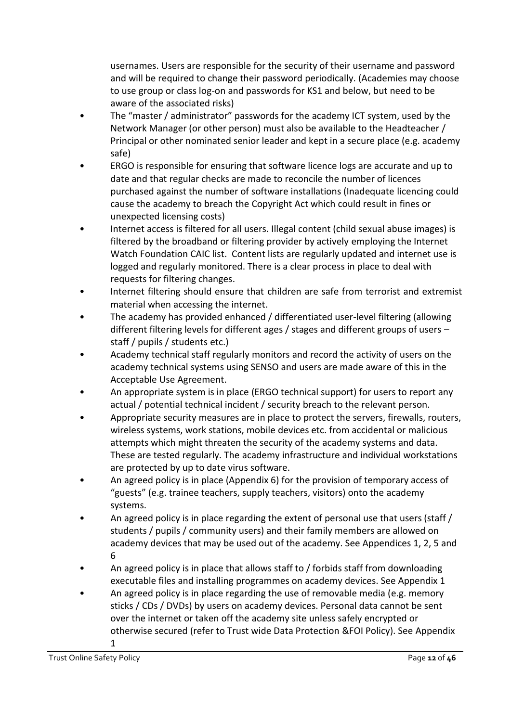usernames. Users are responsible for the security of their username and password and will be required to change their password periodically. (Academies may choose to use group or class log-on and passwords for KS1 and below, but need to be aware of the associated risks)

- The "master / administrator" passwords for the academy ICT system, used by the Network Manager (or other person) must also be available to the Headteacher / Principal or other nominated senior leader and kept in a secure place (e.g. academy safe)
- ERGO is responsible for ensuring that software licence logs are accurate and up to date and that regular checks are made to reconcile the number of licences purchased against the number of software installations (Inadequate licencing could cause the academy to breach the Copyright Act which could result in fines or unexpected licensing costs)
- Internet access is filtered for all users. Illegal content (child sexual abuse images) is filtered by the broadband or filtering provider by actively employing the Internet Watch Foundation CAIC list. Content lists are regularly updated and internet use is logged and regularly monitored. There is a clear process in place to deal with requests for filtering changes.
- Internet filtering should ensure that children are safe from terrorist and extremist material when accessing the internet.
- The academy has provided enhanced / differentiated user-level filtering (allowing different filtering levels for different ages / stages and different groups of users – staff / pupils / students etc.)
- Academy technical staff regularly monitors and record the activity of users on the academy technical systems using SENSO and users are made aware of this in the Acceptable Use Agreement.
- An appropriate system is in place (ERGO technical support) for users to report any actual / potential technical incident / security breach to the relevant person.
- Appropriate security measures are in place to protect the servers, firewalls, routers, wireless systems, work stations, mobile devices etc. from accidental or malicious attempts which might threaten the security of the academy systems and data. These are tested regularly. The academy infrastructure and individual workstations are protected by up to date virus software.
- An agreed policy is in place (Appendix 6) for the provision of temporary access of "guests" (e.g. trainee teachers, supply teachers, visitors) onto the academy systems.
- An agreed policy is in place regarding the extent of personal use that users (staff / students / pupils / community users) and their family members are allowed on academy devices that may be used out of the academy. See Appendices 1, 2, 5 and 6
- An agreed policy is in place that allows staff to / forbids staff from downloading executable files and installing programmes on academy devices. See Appendix 1
- An agreed policy is in place regarding the use of removable media (e.g. memory sticks / CDs / DVDs) by users on academy devices. Personal data cannot be sent over the internet or taken off the academy site unless safely encrypted or otherwise secured (refer to Trust wide Data Protection &FOI Policy). See Appendix 1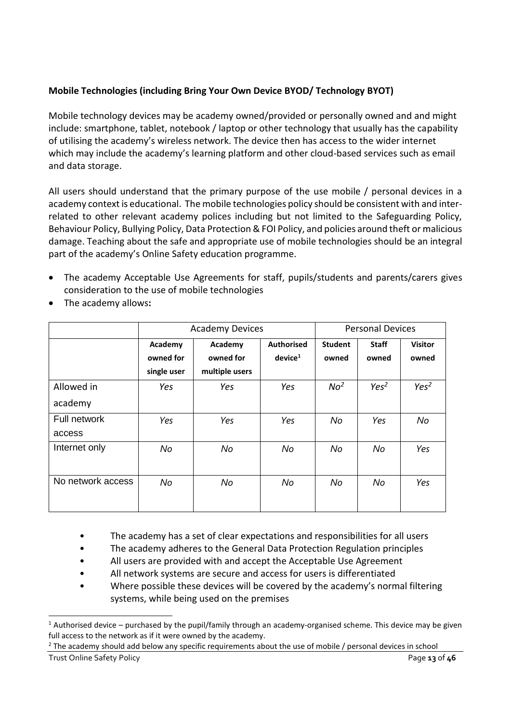#### **Mobile Technologies (including Bring Your Own Device BYOD/ Technology BYOT)**

Mobile technology devices may be academy owned/provided or personally owned and and might include: smartphone, tablet, notebook / laptop or other technology that usually has the capability of utilising the academy's wireless network. The device then has access to the wider internet which may include the academy's learning platform and other cloud-based services such as email and data storage.

All users should understand that the primary purpose of the use mobile / personal devices in a academy context is educational. The mobile technologies policy should be consistent with and interrelated to other relevant academy polices including but not limited to the Safeguarding Policy, Behaviour Policy, Bullying Policy, Data Protection & FOI Policy, and policies around theft or malicious damage. Teaching about the safe and appropriate use of mobile technologies should be an integral part of the academy's Online Safety education programme.

- The academy Acceptable Use Agreements for staff, pupils/students and parents/carers gives consideration to the use of mobile technologies
- The academy allows**:**

<span id="page-12-0"></span>

|                   |             | <b>Academy Devices</b> |                     |                 | <b>Personal Devices</b> |                  |
|-------------------|-------------|------------------------|---------------------|-----------------|-------------------------|------------------|
|                   | Academy     | Academy                | <b>Authorised</b>   | <b>Student</b>  | <b>Staff</b>            | <b>Visitor</b>   |
|                   | owned for   | owned for              | device <sup>1</sup> | owned           | owned                   | owned            |
|                   | single user | multiple users         |                     |                 |                         |                  |
| Allowed in        | Yes         | Yes                    | Yes                 | No <sup>2</sup> | Yes <sup>2</sup>        | Yes <sup>2</sup> |
| academy           |             |                        |                     |                 |                         |                  |
| Full network      | Yes         | Yes                    | Yes                 | No              | Yes                     | No               |
| access            |             |                        |                     |                 |                         |                  |
| Internet only     | No          | No                     | No                  | No              | No                      | Yes              |
|                   |             |                        |                     |                 |                         |                  |
| No network access | No          | No                     | No                  | No              | No                      | Yes              |
|                   |             |                        |                     |                 |                         |                  |

- The academy has a set of clear expectations and responsibilities for all users
- The academy adheres to the General Data Protection Regulation principles
- All users are provided with and accept the Acceptable Use Agreement
- All network systems are secure and access for users is differentiated
- Where possible these devices will be covered by the academy's normal filtering systems, while being used on the premises

**<sup>-</sup>**<sup>1</sup> Authorised device – purchased by the pupil/family through an academy-organised scheme. This device may be given full access to the network as if it were owned by the academy.

<sup>&</sup>lt;sup>2</sup> The academy should add below any specific requirements about the use of mobile / personal devices in school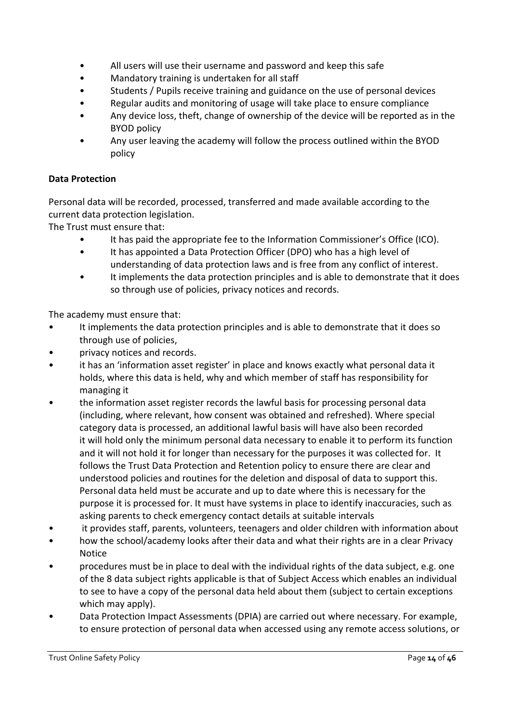- All users will use their username and password and keep this safe
- Mandatory training is undertaken for all staff
- Students / Pupils receive training and guidance on the use of personal devices
- Regular audits and monitoring of usage will take place to ensure compliance
- Any device loss, theft, change of ownership of the device will be reported as in the BYOD policy
- Any user leaving the academy will follow the process outlined within the BYOD policy

#### **Data Protection**

Personal data will be recorded, processed, transferred and made available according to the current data protection legislation.

The Trust must ensure that:

- It has paid the appropriate fee to the Information Commissioner's Office (ICO).
- It has appointed a Data Protection Officer (DPO) who has a high level of understanding of data protection laws and is free from any conflict of interest.
- It implements the data protection principles and is able to demonstrate that it does so through use of policies, privacy notices and records.

The academy must ensure that:

- It implements the data protection principles and is able to demonstrate that it does so through use of policies,
- privacy notices and records.
- it has an 'information asset register' in place and knows exactly what personal data it holds, where this data is held, why and which member of staff has responsibility for managing it
- the information asset register records the lawful basis for processing personal data (including, where relevant, how consent was obtained and refreshed). Where special category data is processed, an additional lawful basis will have also been recorded it will hold only the minimum personal data necessary to enable it to perform its function and it will not hold it for longer than necessary for the purposes it was collected for. It follows the Trust Data Protection and Retention policy to ensure there are clear and understood policies and routines for the deletion and disposal of data to support this. Personal data held must be accurate and up to date where this is necessary for the purpose it is processed for. It must have systems in place to identify inaccuracies, such as asking parents to check emergency contact details at suitable intervals
- it provides staff, parents, volunteers, teenagers and older children with information about
- how the school/academy looks after their data and what their rights are in a clear Privacy Notice
- procedures must be in place to deal with the individual rights of the data subject, e.g. one of the 8 data subject rights applicable is that of Subject Access which enables an individual to see to have a copy of the personal data held about them (subject to certain exceptions which may apply).
- Data Protection Impact Assessments (DPIA) are carried out where necessary. For example, to ensure protection of personal data when accessed using any remote access solutions, or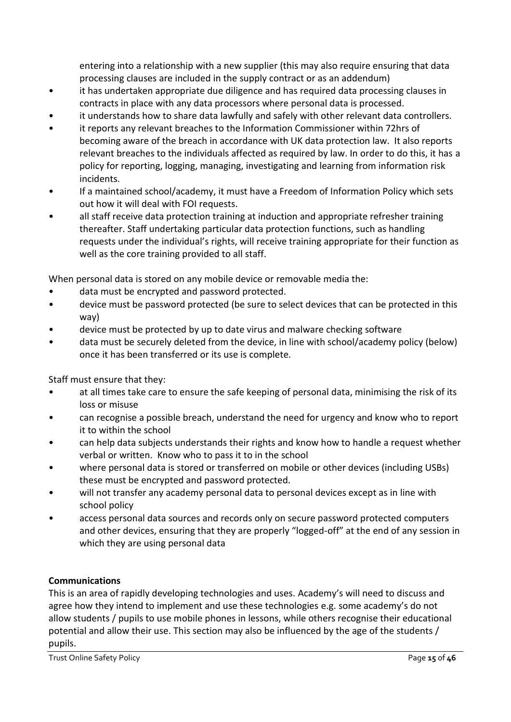entering into a relationship with a new supplier (this may also require ensuring that data processing clauses are included in the supply contract or as an addendum)

- it has undertaken appropriate due diligence and has required data processing clauses in contracts in place with any data processors where personal data is processed.
- it understands how to share data lawfully and safely with other relevant data controllers.
- it reports any relevant breaches to the Information Commissioner within 72hrs of becoming aware of the breach in accordance with UK data protection law. It also reports relevant breaches to the individuals affected as required by law. In order to do this, it has a policy for reporting, logging, managing, investigating and learning from information risk incidents.
- If a maintained school/academy, it must have a Freedom of Information Policy which sets out how it will deal with FOI requests.
- all staff receive data protection training at induction and appropriate refresher training thereafter. Staff undertaking particular data protection functions, such as handling requests under the individual's rights, will receive training appropriate for their function as well as the core training provided to all staff.

When personal data is stored on any mobile device or removable media the:

- data must be encrypted and password protected.
- device must be password protected (be sure to select devices that can be protected in this way)
- device must be protected by up to date virus and malware checking software
- data must be securely deleted from the device, in line with school/academy policy (below) once it has been transferred or its use is complete.

Staff must ensure that they:

- at all times take care to ensure the safe keeping of personal data, minimising the risk of its loss or misuse
- can recognise a possible breach, understand the need for urgency and know who to report it to within the school
- can help data subjects understands their rights and know how to handle a request whether verbal or written. Know who to pass it to in the school
- where personal data is stored or transferred on mobile or other devices (including USBs) these must be encrypted and password protected.
- will not transfer any academy personal data to personal devices except as in line with school policy
- access personal data sources and records only on secure password protected computers and other devices, ensuring that they are properly "logged-off" at the end of any session in which they are using personal data

#### **Communications**

This is an area of rapidly developing technologies and uses. Academy's will need to discuss and agree how they intend to implement and use these technologies e.g. some academy's do not allow students / pupils to use mobile phones in lessons, while others recognise their educational potential and allow their use. This section may also be influenced by the age of the students / pupils.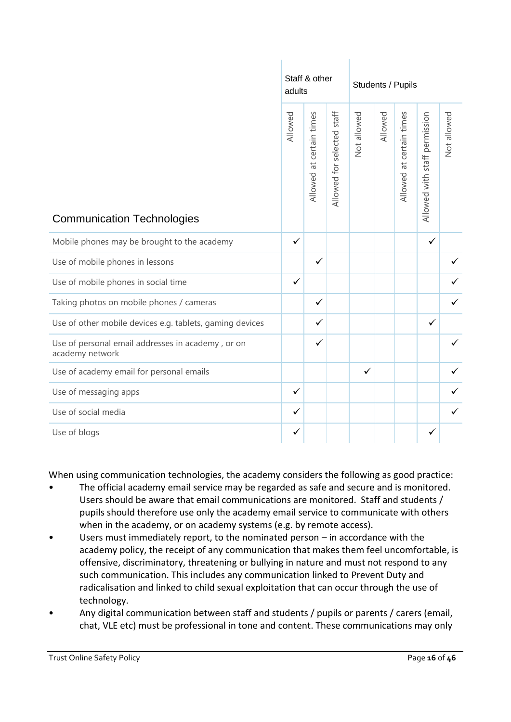|                                                                      | adults       | Staff & other            |                               | Students / Pupils |         |                          |                               |             |
|----------------------------------------------------------------------|--------------|--------------------------|-------------------------------|-------------------|---------|--------------------------|-------------------------------|-------------|
| <b>Communication Technologies</b>                                    | Allowed      | Allowed at certain times | staff<br>Allowed for selected | Not allowed       | Allowed | Allowed at certain times | Allowed with staff permission | Not allowed |
| Mobile phones may be brought to the academy                          | $\checkmark$ |                          |                               |                   |         |                          | $\checkmark$                  |             |
| Use of mobile phones in lessons                                      |              | $\checkmark$             |                               |                   |         |                          |                               |             |
| Use of mobile phones in social time                                  | $\checkmark$ |                          |                               |                   |         |                          |                               |             |
| Taking photos on mobile phones / cameras                             |              | $\checkmark$             |                               |                   |         |                          |                               |             |
| Use of other mobile devices e.g. tablets, gaming devices             |              | $\checkmark$             |                               |                   |         |                          | ✓                             |             |
| Use of personal email addresses in academy, or on<br>academy network |              | $\checkmark$             |                               |                   |         |                          |                               |             |
| Use of academy email for personal emails                             |              |                          |                               | ✓                 |         |                          |                               | ✓           |
| Use of messaging apps                                                | $\checkmark$ |                          |                               |                   |         |                          |                               |             |
| Use of social media                                                  | $\checkmark$ |                          |                               |                   |         |                          |                               |             |
| Use of blogs                                                         | $\checkmark$ |                          |                               |                   |         |                          |                               |             |

When using communication technologies, the academy considers the following as good practice:

- The official academy email service may be regarded as safe and secure and is monitored. Users should be aware that email communications are monitored. Staff and students / pupils should therefore use only the academy email service to communicate with others when in the academy, or on academy systems (e.g. by remote access).
- Users must immediately report, to the nominated person in accordance with the academy policy, the receipt of any communication that makes them feel uncomfortable, is offensive, discriminatory, threatening or bullying in nature and must not respond to any such communication. This includes any communication linked to Prevent Duty and radicalisation and linked to child sexual exploitation that can occur through the use of technology.
- Any digital communication between staff and students / pupils or parents / carers (email, chat, VLE etc) must be professional in tone and content. These communications may only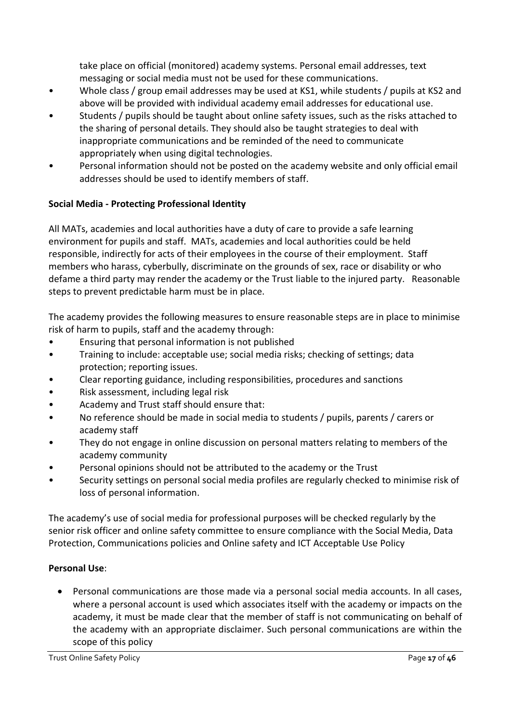take place on official (monitored) academy systems. Personal email addresses, text messaging or social media must not be used for these communications.

- Whole class / group email addresses may be used at KS1, while students / pupils at KS2 and above will be provided with individual academy email addresses for educational use.
- Students / pupils should be taught about online safety issues, such as the risks attached to the sharing of personal details. They should also be taught strategies to deal with inappropriate communications and be reminded of the need to communicate appropriately when using digital technologies.
- Personal information should not be posted on the academy website and only official email addresses should be used to identify members of staff.

#### **Social Media - Protecting Professional Identity**

All MATs, academies and local authorities have a duty of care to provide a safe learning environment for pupils and staff. MATs, academies and local authorities could be held responsible, indirectly for acts of their employees in the course of their employment. Staff members who harass, cyberbully, discriminate on the grounds of sex, race or disability or who defame a third party may render the academy or the Trust liable to the injured party. Reasonable steps to prevent predictable harm must be in place.

The academy provides the following measures to ensure reasonable steps are in place to minimise risk of harm to pupils, staff and the academy through:

- Ensuring that personal information is not published
- Training to include: acceptable use; social media risks; checking of settings; data protection; reporting issues.
- Clear reporting guidance, including responsibilities, procedures and sanctions
- Risk assessment, including legal risk
- Academy and Trust staff should ensure that:
- No reference should be made in social media to students / pupils, parents / carers or academy staff
- They do not engage in online discussion on personal matters relating to members of the academy community
- Personal opinions should not be attributed to the academy or the Trust
- Security settings on personal social media profiles are regularly checked to minimise risk of loss of personal information.

The academy's use of social media for professional purposes will be checked regularly by the senior risk officer and online safety committee to ensure compliance with the Social Media, Data Protection, Communications policies and Online safety and ICT Acceptable Use Policy

#### **Personal Use**:

• Personal communications are those made via a personal social media accounts. In all cases, where a personal account is used which associates itself with the academy or impacts on the academy, it must be made clear that the member of staff is not communicating on behalf of the academy with an appropriate disclaimer. Such personal communications are within the scope of this policy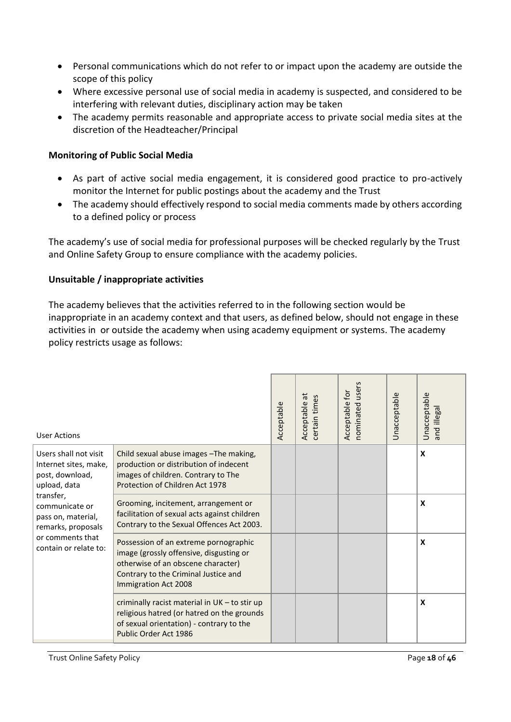- Personal communications which do not refer to or impact upon the academy are outside the scope of this policy
- Where excessive personal use of social media in academy is suspected, and considered to be interfering with relevant duties, disciplinary action may be taken
- The academy permits reasonable and appropriate access to private social media sites at the discretion of the Headteacher/Principal

#### **Monitoring of Public Social Media**

- As part of active social media engagement, it is considered good practice to pro-actively monitor the Internet for public postings about the academy and the Trust
- The academy should effectively respond to social media comments made by others according to a defined policy or process

The academy's use of social media for professional purposes will be checked regularly by the Trust and Online Safety Group to ensure compliance with the academy policies.

#### **Unsuitable / inappropriate activities**

The academy believes that the activities referred to in the following section would be inappropriate in an academy context and that users, as defined below, should not engage in these activities in or outside the academy when using academy equipment or systems. The academy policy restricts usage as follows:

| <b>User Actions</b>                                                                                                                                                                                                                                                                                                                                                                                                                                                                                                                                                                                        |                                                                                                                                                                  |  | $\vec{a}$<br>certain times<br>Acceptable | users<br>for<br>Acceptable<br>nominated | <b>Unacceptable</b> | Unacceptable<br>and illegal |
|------------------------------------------------------------------------------------------------------------------------------------------------------------------------------------------------------------------------------------------------------------------------------------------------------------------------------------------------------------------------------------------------------------------------------------------------------------------------------------------------------------------------------------------------------------------------------------------------------------|------------------------------------------------------------------------------------------------------------------------------------------------------------------|--|------------------------------------------|-----------------------------------------|---------------------|-----------------------------|
| Users shall not visit<br>Child sexual abuse images - The making,<br>production or distribution of indecent<br>Internet sites, make,<br>post, download,<br>images of children. Contrary to The<br>Protection of Children Act 1978<br>upload, data<br>transfer,<br>Grooming, incitement, arrangement or<br>communicate or<br>pass on, material,<br>remarks, proposals<br>or comments that<br>Possession of an extreme pornographic<br>contain or relate to:<br>image (grossly offensive, disgusting or<br>otherwise of an obscene character)<br>Contrary to the Criminal Justice and<br>Immigration Act 2008 |                                                                                                                                                                  |  |                                          |                                         | X                   |                             |
|                                                                                                                                                                                                                                                                                                                                                                                                                                                                                                                                                                                                            | facilitation of sexual acts against children<br>Contrary to the Sexual Offences Act 2003.                                                                        |  |                                          |                                         |                     | X                           |
|                                                                                                                                                                                                                                                                                                                                                                                                                                                                                                                                                                                                            |                                                                                                                                                                  |  |                                          |                                         |                     | X                           |
|                                                                                                                                                                                                                                                                                                                                                                                                                                                                                                                                                                                                            | criminally racist material in UK - to stir up<br>religious hatred (or hatred on the grounds<br>of sexual orientation) - contrary to the<br>Public Order Act 1986 |  |                                          |                                         |                     | X                           |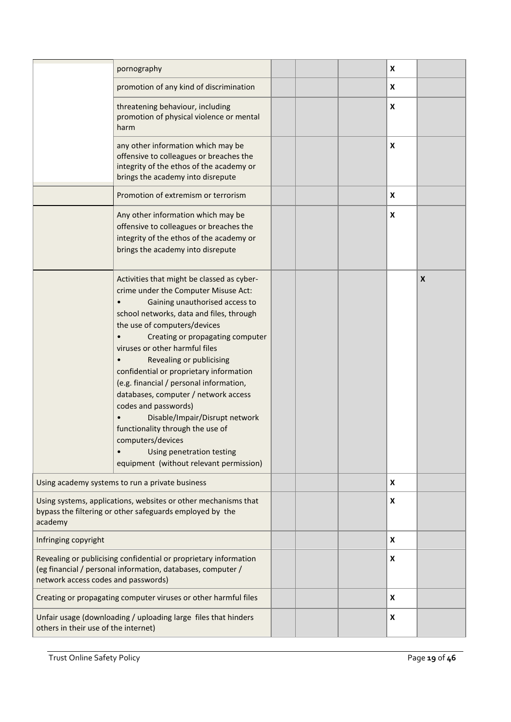|                                      | pornography                                                                                                                                                                                                                                                                                                                                                                                                                                                                                                                                                                                                                              |  | X                  |                           |
|--------------------------------------|------------------------------------------------------------------------------------------------------------------------------------------------------------------------------------------------------------------------------------------------------------------------------------------------------------------------------------------------------------------------------------------------------------------------------------------------------------------------------------------------------------------------------------------------------------------------------------------------------------------------------------------|--|--------------------|---------------------------|
|                                      | promotion of any kind of discrimination                                                                                                                                                                                                                                                                                                                                                                                                                                                                                                                                                                                                  |  | X                  |                           |
|                                      | threatening behaviour, including<br>promotion of physical violence or mental<br>harm                                                                                                                                                                                                                                                                                                                                                                                                                                                                                                                                                     |  | $\pmb{\mathsf{x}}$ |                           |
|                                      | any other information which may be<br>offensive to colleagues or breaches the<br>integrity of the ethos of the academy or<br>brings the academy into disrepute                                                                                                                                                                                                                                                                                                                                                                                                                                                                           |  | X                  |                           |
|                                      | Promotion of extremism or terrorism                                                                                                                                                                                                                                                                                                                                                                                                                                                                                                                                                                                                      |  | X                  |                           |
|                                      | Any other information which may be<br>offensive to colleagues or breaches the<br>integrity of the ethos of the academy or<br>brings the academy into disrepute                                                                                                                                                                                                                                                                                                                                                                                                                                                                           |  | X                  |                           |
|                                      | Activities that might be classed as cyber-<br>crime under the Computer Misuse Act:<br>Gaining unauthorised access to<br>school networks, data and files, through<br>the use of computers/devices<br>Creating or propagating computer<br>viruses or other harmful files<br>Revealing or publicising<br>confidential or proprietary information<br>(e.g. financial / personal information,<br>databases, computer / network access<br>codes and passwords)<br>Disable/Impair/Disrupt network<br>functionality through the use of<br>computers/devices<br>Using penetration testing<br>$\bullet$<br>equipment (without relevant permission) |  |                    | $\boldsymbol{\mathsf{X}}$ |
|                                      | Using academy systems to run a private business                                                                                                                                                                                                                                                                                                                                                                                                                                                                                                                                                                                          |  | X                  |                           |
| academy                              | Using systems, applications, websites or other mechanisms that<br>bypass the filtering or other safeguards employed by the                                                                                                                                                                                                                                                                                                                                                                                                                                                                                                               |  | X                  |                           |
| Infringing copyright                 |                                                                                                                                                                                                                                                                                                                                                                                                                                                                                                                                                                                                                                          |  | X                  |                           |
| network access codes and passwords)  | Revealing or publicising confidential or proprietary information<br>(eg financial / personal information, databases, computer /                                                                                                                                                                                                                                                                                                                                                                                                                                                                                                          |  | X                  |                           |
|                                      | Creating or propagating computer viruses or other harmful files                                                                                                                                                                                                                                                                                                                                                                                                                                                                                                                                                                          |  | X                  |                           |
| others in their use of the internet) | Unfair usage (downloading / uploading large files that hinders                                                                                                                                                                                                                                                                                                                                                                                                                                                                                                                                                                           |  | X                  |                           |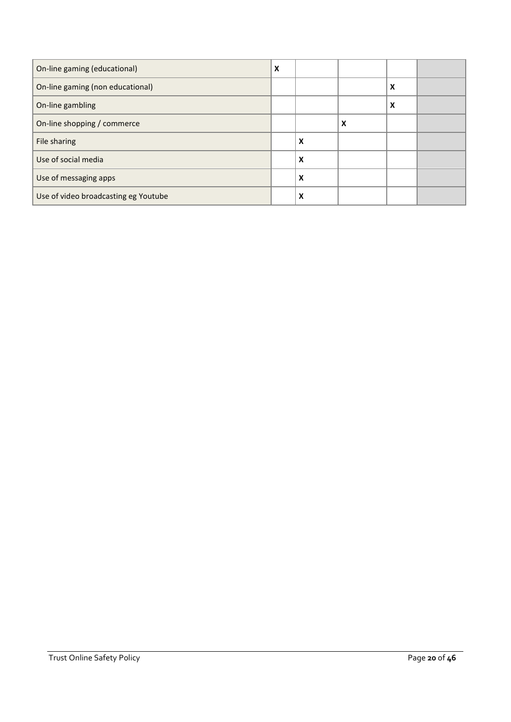| On-line gaming (educational)         | X |   |   |   |  |
|--------------------------------------|---|---|---|---|--|
| On-line gaming (non educational)     |   |   |   | X |  |
| On-line gambling                     |   |   |   | X |  |
| On-line shopping / commerce          |   |   | X |   |  |
| File sharing                         |   | X |   |   |  |
| Use of social media                  |   | X |   |   |  |
| Use of messaging apps                |   | X |   |   |  |
| Use of video broadcasting eg Youtube |   | X |   |   |  |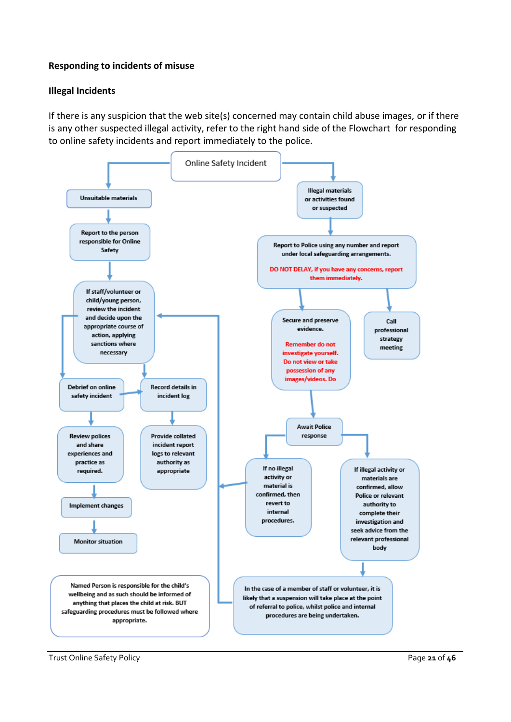#### **Responding to incidents of misuse**

#### **Illegal Incidents**

If there is any suspicion that the web site(s) concerned may contain child abuse images, or if there is any other suspected illegal activity, refer to the right hand side of the Flowchart for responding to online safety incidents and report immediately to the police.

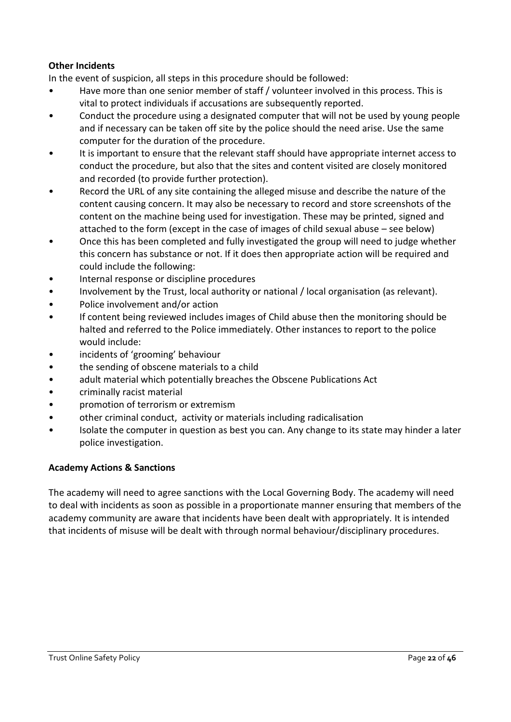#### **Other Incidents**

In the event of suspicion, all steps in this procedure should be followed:

- Have more than one senior member of staff / volunteer involved in this process. This is vital to protect individuals if accusations are subsequently reported.
- Conduct the procedure using a designated computer that will not be used by young people and if necessary can be taken off site by the police should the need arise. Use the same computer for the duration of the procedure.
- It is important to ensure that the relevant staff should have appropriate internet access to conduct the procedure, but also that the sites and content visited are closely monitored and recorded (to provide further protection).
- Record the URL of any site containing the alleged misuse and describe the nature of the content causing concern. It may also be necessary to record and store screenshots of the content on the machine being used for investigation. These may be printed, signed and attached to the form (except in the case of images of child sexual abuse – see below)
- Once this has been completed and fully investigated the group will need to judge whether this concern has substance or not. If it does then appropriate action will be required and could include the following:
- Internal response or discipline procedures
- Involvement by the Trust, local authority or national / local organisation (as relevant).
- Police involvement and/or action
- If content being reviewed includes images of Child abuse then the monitoring should be halted and referred to the Police immediately. Other instances to report to the police would include:
- incidents of 'grooming' behaviour
- the sending of obscene materials to a child
- adult material which potentially breaches the Obscene Publications Act
- criminally racist material
- promotion of terrorism or extremism
- other criminal conduct, activity or materials including radicalisation
- Isolate the computer in question as best you can. Any change to its state may hinder a later police investigation.

#### **Academy Actions & Sanctions**

The academy will need to agree sanctions with the Local Governing Body. The academy will need to deal with incidents as soon as possible in a proportionate manner ensuring that members of the academy community are aware that incidents have been dealt with appropriately. It is intended that incidents of misuse will be dealt with through normal behaviour/disciplinary procedures.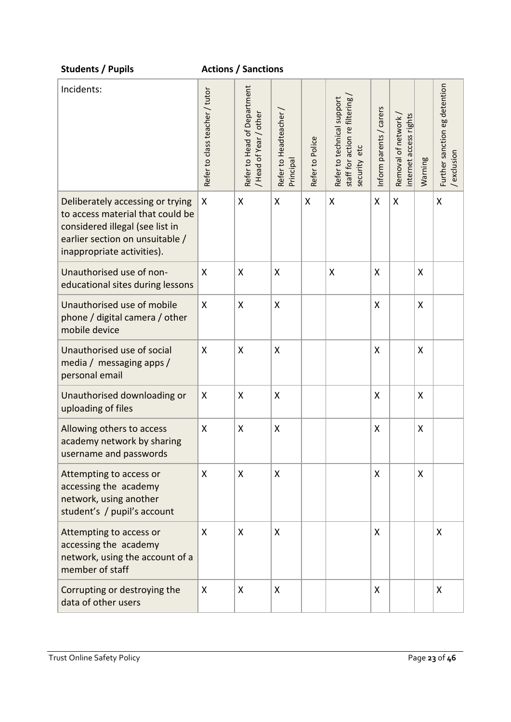| <b>Students / Pupils</b>                                                                                                                                                 |                                | <b>Actions / Sanctions</b>                            |                                   |                 |                                                                                |                         |                                              |         |                                            |
|--------------------------------------------------------------------------------------------------------------------------------------------------------------------------|--------------------------------|-------------------------------------------------------|-----------------------------------|-----------------|--------------------------------------------------------------------------------|-------------------------|----------------------------------------------|---------|--------------------------------------------|
| Incidents:                                                                                                                                                               | Refer to class teacher / tutor | Refer to Head of Department<br>/ Head of Year / other | Refer to Headteacher<br>Principal | Refer to Police | Refer to technical support<br>staff for action re filtering<br>etc<br>security | Inform parents / carers | internet access rights<br>Removal of network | Warning | Further sanction eg detention<br>exclusion |
| Deliberately accessing or trying<br>to access material that could be<br>considered illegal (see list in<br>earlier section on unsuitable /<br>inappropriate activities). | X                              | X                                                     | X                                 | X               | X                                                                              | $\mathsf{X}$            | Χ                                            |         | X                                          |
| Unauthorised use of non-<br>educational sites during lessons                                                                                                             | X                              | X                                                     | X                                 |                 | X                                                                              | X                       |                                              | X       |                                            |
| Unauthorised use of mobile<br>phone / digital camera / other<br>mobile device                                                                                            | X                              | X                                                     | Χ                                 |                 |                                                                                | X                       |                                              | X       |                                            |
| Unauthorised use of social<br>media / messaging apps /<br>personal email                                                                                                 | X                              | X                                                     | X                                 |                 |                                                                                | X                       |                                              | X       |                                            |
| Unauthorised downloading or<br>uploading of files                                                                                                                        | X                              | X                                                     | X                                 |                 |                                                                                | X                       |                                              | X       |                                            |
| Allowing others to access<br>academy network by sharing<br>username and passwords                                                                                        | X                              | $\boldsymbol{\mathsf{X}}$                             | Χ                                 |                 |                                                                                | X                       |                                              | X       |                                            |
| Attempting to access or<br>accessing the academy<br>network, using another<br>student's / pupil's account                                                                | X                              | X                                                     | X                                 |                 |                                                                                | X                       |                                              | X       |                                            |
| Attempting to access or<br>accessing the academy<br>network, using the account of a<br>member of staff                                                                   | X                              | X                                                     | X                                 |                 |                                                                                | X                       |                                              |         | X                                          |
| Corrupting or destroying the<br>data of other users                                                                                                                      | X                              | X                                                     | X                                 |                 |                                                                                | X                       |                                              |         | X                                          |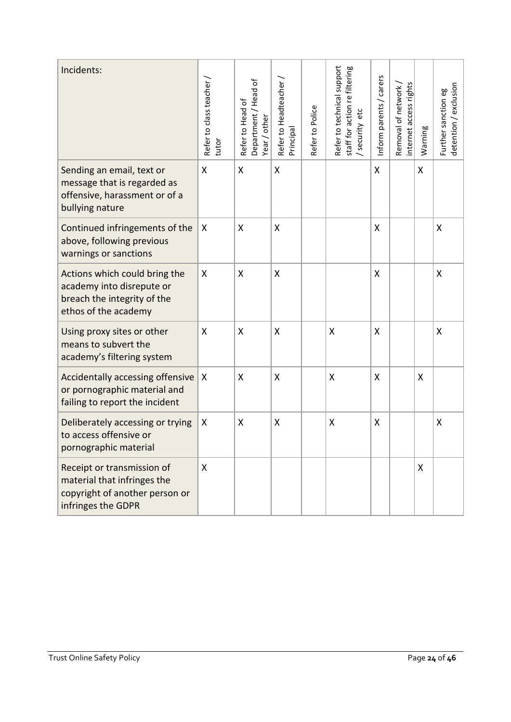| Incidents:                                                                                                        | Refer to class teacher<br>tutor | Department / Head of<br>Refer to Head of<br>Year / other | Refer to Headteacher<br>Principal | Refer to Police | Refer to technical support<br>staff for action re filtering<br>etc<br>security | Inform parents / carers | internet access rights<br>Removal of network | Warning | detention / exclusion<br>Further sanction eg |
|-------------------------------------------------------------------------------------------------------------------|---------------------------------|----------------------------------------------------------|-----------------------------------|-----------------|--------------------------------------------------------------------------------|-------------------------|----------------------------------------------|---------|----------------------------------------------|
| Sending an email, text or<br>message that is regarded as<br>offensive, harassment or of a<br>bullying nature      | X                               | X                                                        | Χ                                 |                 |                                                                                | X                       |                                              | Χ       |                                              |
| Continued infringements of the<br>above, following previous<br>warnings or sanctions                              | X                               | X                                                        | X                                 |                 |                                                                                | X                       |                                              |         | X                                            |
| Actions which could bring the<br>academy into disrepute or<br>breach the integrity of the<br>ethos of the academy | X                               | X                                                        | Χ                                 |                 |                                                                                | X                       |                                              |         | X                                            |
| Using proxy sites or other<br>means to subvert the<br>academy's filtering system                                  | X                               | X                                                        | Χ                                 |                 | X                                                                              | X                       |                                              |         | X                                            |
| Accidentally accessing offensive   X<br>or pornographic material and<br>failing to report the incident            |                                 | X                                                        | X                                 |                 | X                                                                              | X                       |                                              | X       |                                              |
| Deliberately accessing or trying<br>to access offensive or<br>pornographic material                               | X                               | X                                                        | Χ                                 |                 | X                                                                              | X                       |                                              |         | X                                            |
| Receipt or transmission of<br>material that infringes the<br>copyright of another person or<br>infringes the GDPR | X                               |                                                          |                                   |                 |                                                                                |                         |                                              | X       |                                              |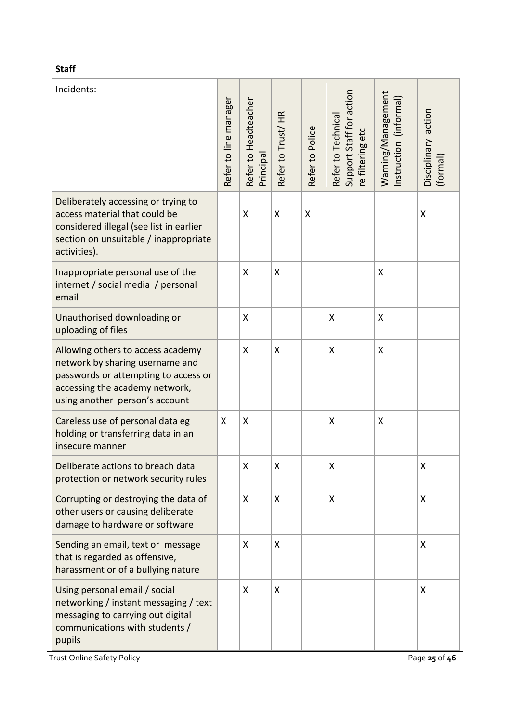| Incidents:                                                                                                                                                                       | Refer to line manager | Refer to Headteacher<br>Principa | Refer to Trust/HR | Refer to Police | Support Staff for action<br>Refer to Technical<br>re filtering etc | Warning/Management<br>Instruction (informal) | Disciplinary action<br>(formal) |
|----------------------------------------------------------------------------------------------------------------------------------------------------------------------------------|-----------------------|----------------------------------|-------------------|-----------------|--------------------------------------------------------------------|----------------------------------------------|---------------------------------|
| Deliberately accessing or trying to<br>access material that could be<br>considered illegal (see list in earlier<br>section on unsuitable / inappropriate<br>activities).         |                       | Χ                                | X                 | X               |                                                                    |                                              | Χ                               |
| Inappropriate personal use of the<br>internet / social media / personal<br>email                                                                                                 |                       | Χ                                | X                 |                 |                                                                    | X                                            |                                 |
| Unauthorised downloading or<br>uploading of files                                                                                                                                |                       | Χ                                |                   |                 | X                                                                  | X                                            |                                 |
| Allowing others to access academy<br>network by sharing username and<br>passwords or attempting to access or<br>accessing the academy network,<br>using another person's account |                       | X                                | X                 |                 | X                                                                  | X                                            |                                 |
| Careless use of personal data eg<br>holding or transferring data in an<br>insecure manner                                                                                        | X                     | X                                |                   |                 | X                                                                  | Χ                                            |                                 |
| Deliberate actions to breach data<br>protection or network security rules                                                                                                        |                       | Χ                                | Χ                 |                 | Χ                                                                  |                                              | X                               |
| Corrupting or destroying the data of<br>other users or causing deliberate<br>damage to hardware or software                                                                      |                       | X                                | X                 |                 | X                                                                  |                                              | X                               |
| Sending an email, text or message<br>that is regarded as offensive,<br>harassment or of a bullying nature                                                                        |                       | X                                | X                 |                 |                                                                    |                                              | Χ                               |
| Using personal email / social<br>networking / instant messaging / text<br>messaging to carrying out digital<br>communications with students /<br>pupils                          |                       | Χ                                | X                 |                 |                                                                    |                                              | X                               |

Trust Online Safety Policy **Page 25** of 46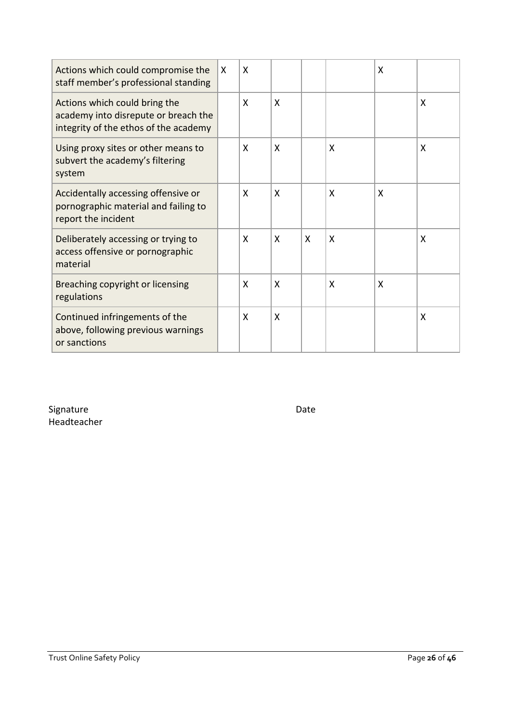| Actions which could compromise the<br>staff member's professional standing                                     | X | X |                           |   |   | X |   |
|----------------------------------------------------------------------------------------------------------------|---|---|---------------------------|---|---|---|---|
| Actions which could bring the<br>academy into disrepute or breach the<br>integrity of the ethos of the academy |   | X | X                         |   |   |   | X |
| Using proxy sites or other means to<br>subvert the academy's filtering<br>system                               |   | X | X                         |   | X |   | X |
| Accidentally accessing offensive or<br>pornographic material and failing to<br>report the incident             |   | X | X                         |   | X | X |   |
| Deliberately accessing or trying to<br>access offensive or pornographic<br>material                            |   | X | X                         | X | X |   | X |
| Breaching copyright or licensing<br>regulations                                                                |   | X | X                         |   | X | X |   |
| Continued infringements of the<br>above, following previous warnings<br>or sanctions                           |   | X | $\boldsymbol{\mathsf{X}}$ |   |   |   | X |

Signature Date Date Date Headteacher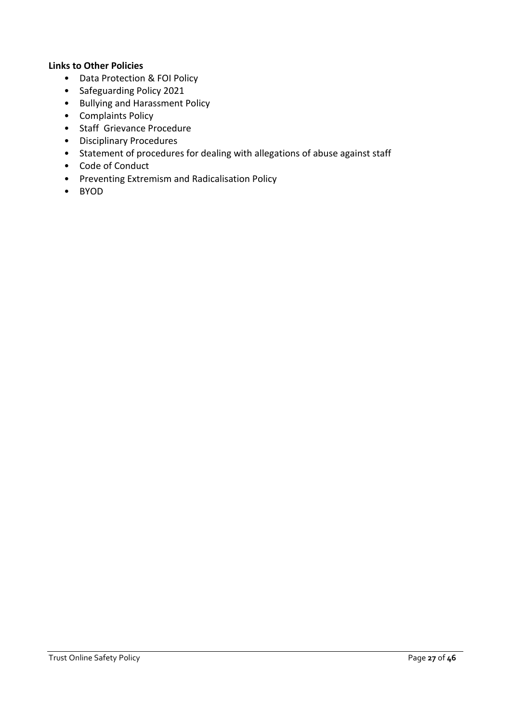#### **Links to Other Policies**

- Data Protection & FOI Policy
- Safeguarding Policy 2021
- Bullying and Harassment Policy
- Complaints Policy
- Staff Grievance Procedure
- Disciplinary Procedures
- Statement of procedures for dealing with allegations of abuse against staff
- Code of Conduct
- Preventing Extremism and Radicalisation Policy
- BYOD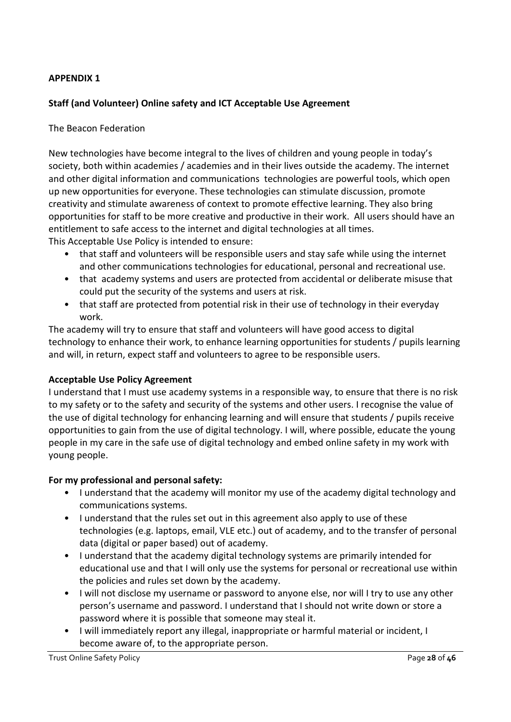#### **APPENDIX 1**

#### **Staff (and Volunteer) Online safety and ICT Acceptable Use Agreement**

#### The Beacon Federation

New technologies have become integral to the lives of children and young people in today's society, both within academies / academies and in their lives outside the academy. The internet and other digital information and communications technologies are powerful tools, which open up new opportunities for everyone. These technologies can stimulate discussion, promote creativity and stimulate awareness of context to promote effective learning. They also bring opportunities for staff to be more creative and productive in their work. All users should have an entitlement to safe access to the internet and digital technologies at all times. This Acceptable Use Policy is intended to ensure:

- that staff and volunteers will be responsible users and stay safe while using the internet and other communications technologies for educational, personal and recreational use.
- that academy systems and users are protected from accidental or deliberate misuse that could put the security of the systems and users at risk.
- that staff are protected from potential risk in their use of technology in their everyday work.

The academy will try to ensure that staff and volunteers will have good access to digital technology to enhance their work, to enhance learning opportunities for students / pupils learning and will, in return, expect staff and volunteers to agree to be responsible users.

#### **Acceptable Use Policy Agreement**

I understand that I must use academy systems in a responsible way, to ensure that there is no risk to my safety or to the safety and security of the systems and other users. I recognise the value of the use of digital technology for enhancing learning and will ensure that students / pupils receive opportunities to gain from the use of digital technology. I will, where possible, educate the young people in my care in the safe use of digital technology and embed online safety in my work with young people.

#### **For my professional and personal safety:**

- I understand that the academy will monitor my use of the academy digital technology and communications systems.
- I understand that the rules set out in this agreement also apply to use of these technologies (e.g. laptops, email, VLE etc.) out of academy, and to the transfer of personal data (digital or paper based) out of academy.
- I understand that the academy digital technology systems are primarily intended for educational use and that I will only use the systems for personal or recreational use within the policies and rules set down by the academy.
- I will not disclose my username or password to anyone else, nor will I try to use any other person's username and password. I understand that I should not write down or store a password where it is possible that someone may steal it.
- I will immediately report any illegal, inappropriate or harmful material or incident, I become aware of, to the appropriate person.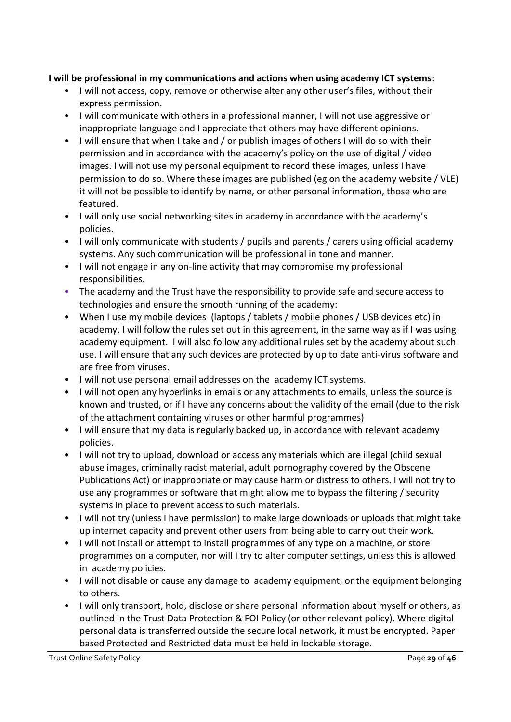#### **I will be professional in my communications and actions when using academy ICT systems**:

- I will not access, copy, remove or otherwise alter any other user's files, without their express permission.
- I will communicate with others in a professional manner, I will not use aggressive or inappropriate language and I appreciate that others may have different opinions.
- I will ensure that when I take and / or publish images of others I will do so with their permission and in accordance with the academy's policy on the use of digital / video images. I will not use my personal equipment to record these images, unless I have permission to do so. Where these images are published (eg on the academy website / VLE) it will not be possible to identify by name, or other personal information, those who are featured.
- I will only use social networking sites in academy in accordance with the academy's policies.
- I will only communicate with students / pupils and parents / carers using official academy systems. Any such communication will be professional in tone and manner.
- I will not engage in any on-line activity that may compromise my professional responsibilities.
- The academy and the Trust have the responsibility to provide safe and secure access to technologies and ensure the smooth running of the academy:
- When I use my mobile devices (laptops / tablets / mobile phones / USB devices etc) in academy, I will follow the rules set out in this agreement, in the same way as if I was using academy equipment. I will also follow any additional rules set by the academy about such use. I will ensure that any such devices are protected by up to date anti-virus software and are free from viruses.
- I will not use personal email addresses on the academy ICT systems.
- I will not open any hyperlinks in emails or any attachments to emails, unless the source is known and trusted, or if I have any concerns about the validity of the email (due to the risk of the attachment containing viruses or other harmful programmes)
- I will ensure that my data is regularly backed up, in accordance with relevant academy policies.
- I will not try to upload, download or access any materials which are illegal (child sexual abuse images, criminally racist material, adult pornography covered by the Obscene Publications Act) or inappropriate or may cause harm or distress to others. I will not try to use any programmes or software that might allow me to bypass the filtering / security systems in place to prevent access to such materials.
- I will not try (unless I have permission) to make large downloads or uploads that might take up internet capacity and prevent other users from being able to carry out their work.
- I will not install or attempt to install programmes of any type on a machine, or store programmes on a computer, nor will I try to alter computer settings, unless this is allowed in academy policies.
- I will not disable or cause any damage to academy equipment, or the equipment belonging to others.
- I will only transport, hold, disclose or share personal information about myself or others, as outlined in the Trust Data Protection & FOI Policy (or other relevant policy). Where digital personal data is transferred outside the secure local network, it must be encrypted. Paper based Protected and Restricted data must be held in lockable storage.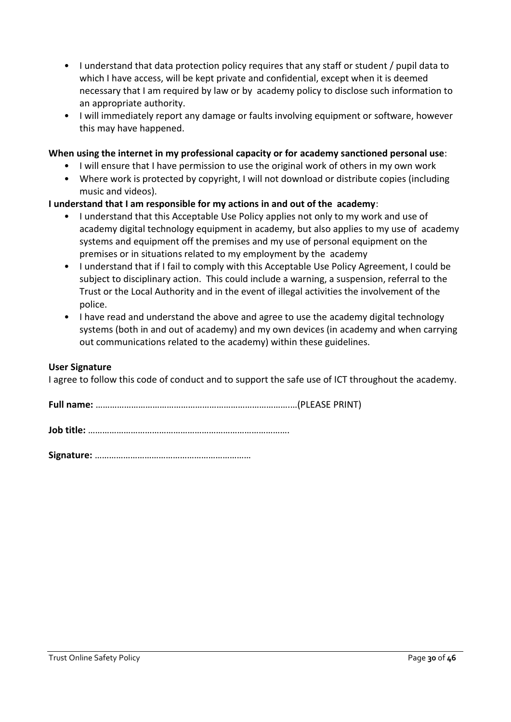- I understand that data protection policy requires that any staff or student / pupil data to which I have access, will be kept private and confidential, except when it is deemed necessary that I am required by law or by academy policy to disclose such information to an appropriate authority.
- I will immediately report any damage or faults involving equipment or software, however this may have happened.

#### **When using the internet in my professional capacity or for academy sanctioned personal use**:

- I will ensure that I have permission to use the original work of others in my own work
- Where work is protected by copyright, I will not download or distribute copies (including music and videos).

#### **I understand that I am responsible for my actions in and out of the academy**:

- I understand that this Acceptable Use Policy applies not only to my work and use of academy digital technology equipment in academy, but also applies to my use of academy systems and equipment off the premises and my use of personal equipment on the premises or in situations related to my employment by the academy
- I understand that if I fail to comply with this Acceptable Use Policy Agreement, I could be subject to disciplinary action. This could include a warning, a suspension, referral to the Trust or the Local Authority and in the event of illegal activities the involvement of the police.
- I have read and understand the above and agree to use the academy digital technology systems (both in and out of academy) and my own devices (in academy and when carrying out communications related to the academy) within these guidelines.

#### **User Signature**

I agree to follow this code of conduct and to support the safe use of ICT throughout the academy.

**Signature:** …………………………………………………………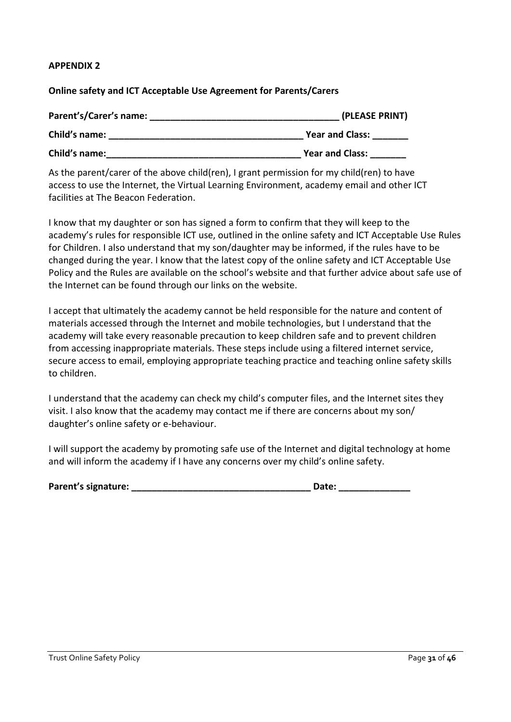#### **APPENDIX 2**

#### **Online safety and ICT Acceptable Use Agreement for Parents/Carers**

| Parent's/Carer's name: | (PLEASE PRINT)<br><b>Year and Class:</b> |  |
|------------------------|------------------------------------------|--|
| Child's name:          |                                          |  |
| Child's name:          | <b>Year and Class:</b>                   |  |

As the parent/carer of the above child(ren), I grant permission for my child(ren) to have access to use the Internet, the Virtual Learning Environment, academy email and other ICT facilities at The Beacon Federation.

I know that my daughter or son has signed a form to confirm that they will keep to the academy's rules for responsible ICT use, outlined in the online safety and ICT Acceptable Use Rules for Children. I also understand that my son/daughter may be informed, if the rules have to be changed during the year. I know that the latest copy of the online safety and ICT Acceptable Use Policy and the Rules are available on the school's website and that further advice about safe use of the Internet can be found through our links on the website.

I accept that ultimately the academy cannot be held responsible for the nature and content of materials accessed through the Internet and mobile technologies, but I understand that the academy will take every reasonable precaution to keep children safe and to prevent children from accessing inappropriate materials. These steps include using a filtered internet service, secure access to email, employing appropriate teaching practice and teaching online safety skills to children.

I understand that the academy can check my child's computer files, and the Internet sites they visit. I also know that the academy may contact me if there are concerns about my son/ daughter's online safety or e-behaviour.

I will support the academy by promoting safe use of the Internet and digital technology at home and will inform the academy if I have any concerns over my child's online safety.

| Parent's signature: | Date: |
|---------------------|-------|
|---------------------|-------|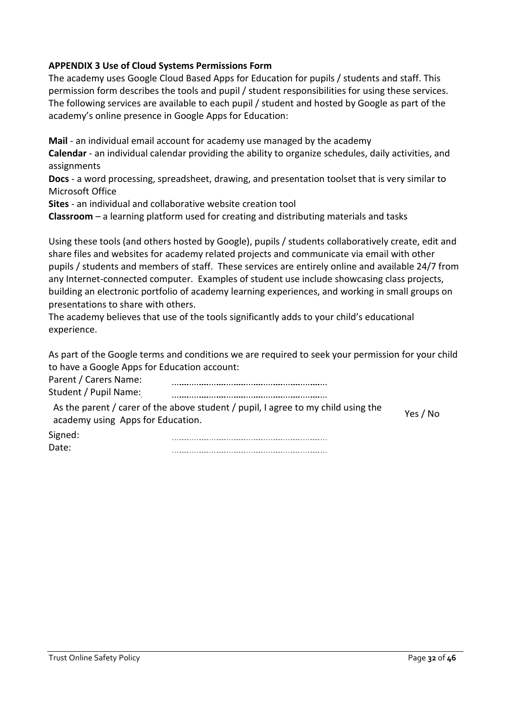#### **APPENDIX 3 Use of Cloud Systems Permissions Form**

The academy uses Google Cloud Based Apps for Education for pupils / students and staff. This permission form describes the tools and pupil / student responsibilities for using these services. The following services are available to each pupil / student and hosted by Google as part of the academy's online presence in Google Apps for Education:

**Mail** - an individual email account for academy use managed by the academy

**Calendar** - an individual calendar providing the ability to organize schedules, daily activities, and assignments

**Docs** - a word processing, spreadsheet, drawing, and presentation toolset that is very similar to Microsoft Office

**Sites** - an individual and collaborative website creation tool

**Classroom** – a learning platform used for creating and distributing materials and tasks

Using these tools (and others hosted by Google), pupils / students collaboratively create, edit and share files and websites for academy related projects and communicate via email with other pupils / students and members of staff. These services are entirely online and available 24/7 from any Internet-connected computer. Examples of student use include showcasing class projects, building an electronic portfolio of academy learning experiences, and working in small groups on presentations to share with others.

The academy believes that use of the tools significantly adds to your child's educational experience.

As part of the Google terms and conditions we are required to seek your permission for your child to have a Google Apps for Education account:

| Parent / Carers Name:             |                                                                                   |          |
|-----------------------------------|-----------------------------------------------------------------------------------|----------|
| Student / Pupil Name:             |                                                                                   |          |
| academy using Apps for Education. | As the parent / carer of the above student / pupil, I agree to my child using the | Yes / No |
| Signed:                           |                                                                                   |          |
| Date:                             |                                                                                   |          |

| at∆∙ |  |
|------|--|
|      |  |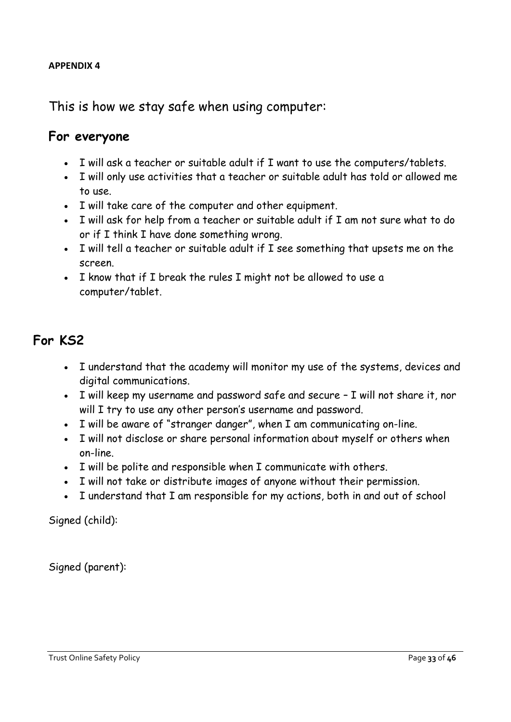#### **APPENDIX 4**

This is how we stay safe when using computer:

#### **For everyone**

- I will ask a teacher or suitable adult if I want to use the computers/tablets.
- I will only use activities that a teacher or suitable adult has told or allowed me to use.
- I will take care of the computer and other equipment.
- I will ask for help from a teacher or suitable adult if I am not sure what to do or if I think I have done something wrong.
- I will tell a teacher or suitable adult if I see something that upsets me on the screen.
- I know that if I break the rules I might not be allowed to use a computer/tablet.

### **For KS2**

- I understand that the academy will monitor my use of the systems, devices and digital communications.
- I will keep my username and password safe and secure I will not share it, nor will I try to use any other person's username and password.
- I will be aware of "stranger danger", when I am communicating on-line.
- I will not disclose or share personal information about myself or others when on-line.
- I will be polite and responsible when I communicate with others.
- I will not take or distribute images of anyone without their permission.
- I understand that I am responsible for my actions, both in and out of school

Signed (child):

Signed (parent):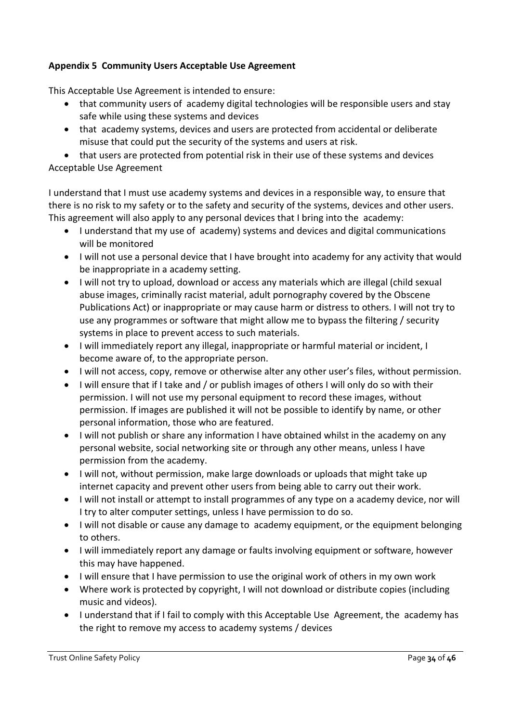#### **Appendix 5 Community Users Acceptable Use Agreement**

This Acceptable Use Agreement is intended to ensure:

- that community users of academy digital technologies will be responsible users and stay safe while using these systems and devices
- that academy systems, devices and users are protected from accidental or deliberate misuse that could put the security of the systems and users at risk.

• that users are protected from potential risk in their use of these systems and devices Acceptable Use Agreement

I understand that I must use academy systems and devices in a responsible way, to ensure that there is no risk to my safety or to the safety and security of the systems, devices and other users. This agreement will also apply to any personal devices that I bring into the academy:

- I understand that my use of academy) systems and devices and digital communications will be monitored
- I will not use a personal device that I have brought into academy for any activity that would be inappropriate in a academy setting.
- I will not try to upload, download or access any materials which are illegal (child sexual abuse images, criminally racist material, adult pornography covered by the Obscene Publications Act) or inappropriate or may cause harm or distress to others. I will not try to use any programmes or software that might allow me to bypass the filtering / security systems in place to prevent access to such materials.
- I will immediately report any illegal, inappropriate or harmful material or incident, I become aware of, to the appropriate person.
- I will not access, copy, remove or otherwise alter any other user's files, without permission.
- I will ensure that if I take and / or publish images of others I will only do so with their permission. I will not use my personal equipment to record these images, without permission. If images are published it will not be possible to identify by name, or other personal information, those who are featured.
- I will not publish or share any information I have obtained whilst in the academy on any personal website, social networking site or through any other means, unless I have permission from the academy.
- I will not, without permission, make large downloads or uploads that might take up internet capacity and prevent other users from being able to carry out their work.
- I will not install or attempt to install programmes of any type on a academy device, nor will I try to alter computer settings, unless I have permission to do so.
- I will not disable or cause any damage to academy equipment, or the equipment belonging to others.
- I will immediately report any damage or faults involving equipment or software, however this may have happened.
- I will ensure that I have permission to use the original work of others in my own work
- Where work is protected by copyright, I will not download or distribute copies (including music and videos).
- I understand that if I fail to comply with this Acceptable Use Agreement, the academy has the right to remove my access to academy systems / devices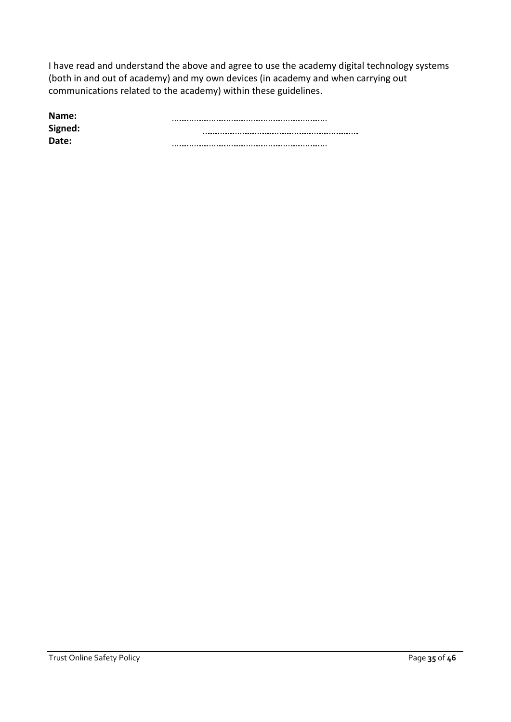I have read and understand the above and agree to use the academy digital technology systems (both in and out of academy) and my own devices (in academy and when carrying out communications related to the academy) within these guidelines.

| Name:   |  |
|---------|--|
| Signed: |  |
| Date:   |  |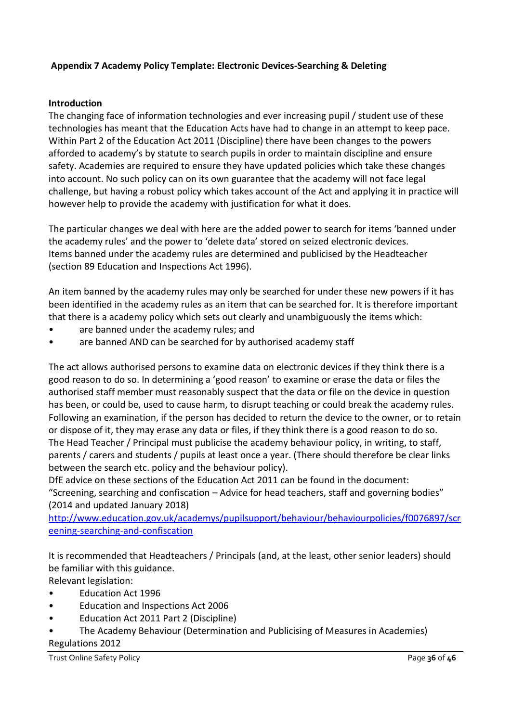#### **Appendix 7 Academy Policy Template: Electronic Devices-Searching & Deleting**

#### **Introduction**

The changing face of information technologies and ever increasing pupil / student use of these technologies has meant that the Education Acts have had to change in an attempt to keep pace. Within Part 2 of the Education Act 2011 (Discipline) there have been changes to the powers afforded to academy's by statute to search pupils in order to maintain discipline and ensure safety. Academies are required to ensure they have updated policies which take these changes into account. No such policy can on its own guarantee that the academy will not face legal challenge, but having a robust policy which takes account of the Act and applying it in practice will however help to provide the academy with justification for what it does.

The particular changes we deal with here are the added power to search for items 'banned under the academy rules' and the power to 'delete data' stored on seized electronic devices. Items banned under the academy rules are determined and publicised by the Headteacher (section 89 Education and Inspections Act 1996).

An item banned by the academy rules may only be searched for under these new powers if it has been identified in the academy rules as an item that can be searched for. It is therefore important that there is a academy policy which sets out clearly and unambiguously the items which:

- are banned under the academy rules; and
- are banned AND can be searched for by authorised academy staff

The act allows authorised persons to examine data on electronic devices if they think there is a good reason to do so. In determining a 'good reason' to examine or erase the data or files the authorised staff member must reasonably suspect that the data or file on the device in question has been, or could be, used to cause harm, to disrupt teaching or could break the academy rules. Following an examination, if the person has decided to return the device to the owner, or to retain or dispose of it, they may erase any data or files, if they think there is a good reason to do so. The Head Teacher / Principal must publicise the academy behaviour policy, in writing, to staff, parents / carers and students / pupils at least once a year. (There should therefore be clear links between the search etc. policy and the behaviour policy).

DfE advice on these sections of the Education Act 2011 can be found in the document: "Screening, searching and confiscation – Advice for head teachers, staff and governing bodies" (2014 and updated January 2018)

[http://www.education.gov.uk/academys/pupilsupport/behaviour/behaviourpolicies/f0076897/scr](http://www.education.gov.uk/schools/pupilsupport/behaviour/behaviourpolicies/f0076897/screening-searching-and-confiscation) [eening-searching-and-confiscation](http://www.education.gov.uk/schools/pupilsupport/behaviour/behaviourpolicies/f0076897/screening-searching-and-confiscation)

It is recommended that Headteachers / Principals (and, at the least, other senior leaders) should be familiar with this guidance.

Relevant legislation:

- Education Act 1996
- Education and Inspections Act 2006
- Education Act 2011 Part 2 (Discipline)
- The Academy Behaviour (Determination and Publicising of Measures in Academies) Regulations 2012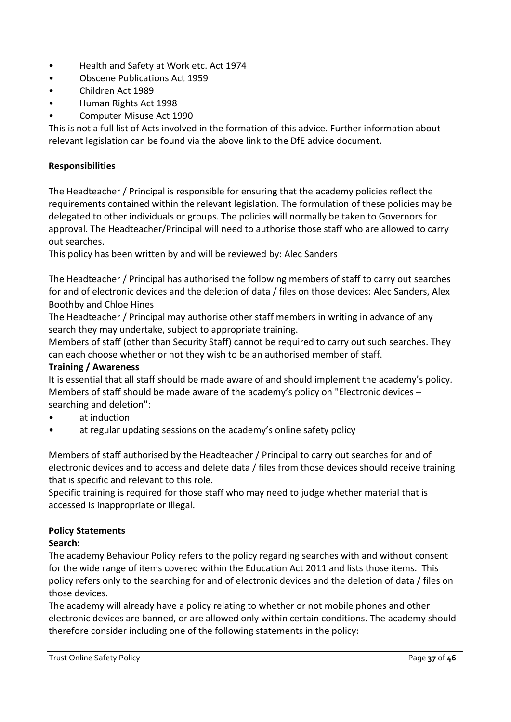- Health and Safety at Work etc. Act 1974
- Obscene Publications Act 1959
- Children Act 1989
- Human Rights Act 1998
- Computer Misuse Act 1990

This is not a full list of Acts involved in the formation of this advice. Further information about relevant legislation can be found via the above link to the DfE advice document.

#### **Responsibilities**

The Headteacher / Principal is responsible for ensuring that the academy policies reflect the requirements contained within the relevant legislation. The formulation of these policies may be delegated to other individuals or groups. The policies will normally be taken to Governors for approval. The Headteacher/Principal will need to authorise those staff who are allowed to carry out searches.

This policy has been written by and will be reviewed by: Alec Sanders

The Headteacher / Principal has authorised the following members of staff to carry out searches for and of electronic devices and the deletion of data / files on those devices: Alec Sanders, Alex Boothby and Chloe Hines

The Headteacher / Principal may authorise other staff members in writing in advance of any search they may undertake, subject to appropriate training.

Members of staff (other than Security Staff) cannot be required to carry out such searches. They can each choose whether or not they wish to be an authorised member of staff.

#### **Training / Awareness**

It is essential that all staff should be made aware of and should implement the academy's policy. Members of staff should be made aware of the academy's policy on "Electronic devices – searching and deletion":

- at induction
- at regular updating sessions on the academy's online safety policy

Members of staff authorised by the Headteacher / Principal to carry out searches for and of electronic devices and to access and delete data / files from those devices should receive training that is specific and relevant to this role.

Specific training is required for those staff who may need to judge whether material that is accessed is inappropriate or illegal.

#### **Policy Statements**

#### **Search:**

The academy Behaviour Policy refers to the policy regarding searches with and without consent for the wide range of items covered within the Education Act 2011 and lists those items. This policy refers only to the searching for and of electronic devices and the deletion of data / files on those devices.

The academy will already have a policy relating to whether or not mobile phones and other electronic devices are banned, or are allowed only within certain conditions. The academy should therefore consider including one of the following statements in the policy: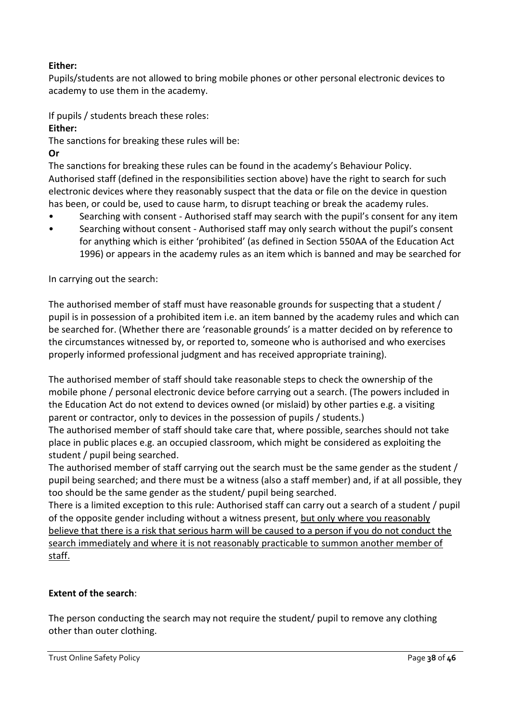#### **Either:**

Pupils/students are not allowed to bring mobile phones or other personal electronic devices to academy to use them in the academy.

If pupils / students breach these roles:

**Either:**

The sanctions for breaking these rules will be:

**Or**

The sanctions for breaking these rules can be found in the academy's Behaviour Policy. Authorised staff (defined in the responsibilities section above) have the right to search for such electronic devices where they reasonably suspect that the data or file on the device in question has been, or could be, used to cause harm, to disrupt teaching or break the academy rules.

- Searching with consent Authorised staff may search with the pupil's consent for any item
- Searching without consent Authorised staff may only search without the pupil's consent for anything which is either 'prohibited' (as defined in Section 550AA of the Education Act 1996) or appears in the academy rules as an item which is banned and may be searched for

In carrying out the search:

The authorised member of staff must have reasonable grounds for suspecting that a student / pupil is in possession of a prohibited item i.e. an item banned by the academy rules and which can be searched for. (Whether there are 'reasonable grounds' is a matter decided on by reference to the circumstances witnessed by, or reported to, someone who is authorised and who exercises properly informed professional judgment and has received appropriate training).

The authorised member of staff should take reasonable steps to check the ownership of the mobile phone / personal electronic device before carrying out a search. (The powers included in the Education Act do not extend to devices owned (or mislaid) by other parties e.g. a visiting parent or contractor, only to devices in the possession of pupils / students.)

The authorised member of staff should take care that, where possible, searches should not take place in public places e.g. an occupied classroom, which might be considered as exploiting the student / pupil being searched.

The authorised member of staff carrying out the search must be the same gender as the student / pupil being searched; and there must be a witness (also a staff member) and, if at all possible, they too should be the same gender as the student/ pupil being searched.

There is a limited exception to this rule: Authorised staff can carry out a search of a student / pupil of the opposite gender including without a witness present, but only where you reasonably believe that there is a risk that serious harm will be caused to a person if you do not conduct the search immediately and where it is not reasonably practicable to summon another member of staff.

#### **Extent of the search**:

The person conducting the search may not require the student/ pupil to remove any clothing other than outer clothing.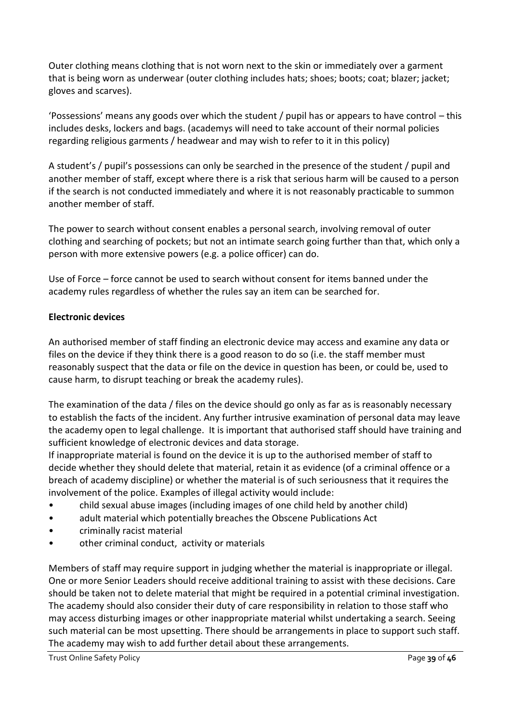Outer clothing means clothing that is not worn next to the skin or immediately over a garment that is being worn as underwear (outer clothing includes hats; shoes; boots; coat; blazer; jacket; gloves and scarves).

'Possessions' means any goods over which the student / pupil has or appears to have control – this includes desks, lockers and bags. (academys will need to take account of their normal policies regarding religious garments / headwear and may wish to refer to it in this policy)

A student's / pupil's possessions can only be searched in the presence of the student / pupil and another member of staff, except where there is a risk that serious harm will be caused to a person if the search is not conducted immediately and where it is not reasonably practicable to summon another member of staff.

The power to search without consent enables a personal search, involving removal of outer clothing and searching of pockets; but not an intimate search going further than that, which only a person with more extensive powers (e.g. a police officer) can do.

Use of Force – force cannot be used to search without consent for items banned under the academy rules regardless of whether the rules say an item can be searched for.

#### **Electronic devices**

An authorised member of staff finding an electronic device may access and examine any data or files on the device if they think there is a good reason to do so (i.e. the staff member must reasonably suspect that the data or file on the device in question has been, or could be, used to cause harm, to disrupt teaching or break the academy rules).

The examination of the data / files on the device should go only as far as is reasonably necessary to establish the facts of the incident. Any further intrusive examination of personal data may leave the academy open to legal challenge. It is important that authorised staff should have training and sufficient knowledge of electronic devices and data storage.

If inappropriate material is found on the device it is up to the authorised member of staff to decide whether they should delete that material, retain it as evidence (of a criminal offence or a breach of academy discipline) or whether the material is of such seriousness that it requires the involvement of the police. Examples of illegal activity would include:

- child sexual abuse images (including images of one child held by another child)
- adult material which potentially breaches the Obscene Publications Act
- criminally racist material
- other criminal conduct, activity or materials

Members of staff may require support in judging whether the material is inappropriate or illegal. One or more Senior Leaders should receive additional training to assist with these decisions. Care should be taken not to delete material that might be required in a potential criminal investigation. The academy should also consider their duty of care responsibility in relation to those staff who may access disturbing images or other inappropriate material whilst undertaking a search. Seeing such material can be most upsetting. There should be arrangements in place to support such staff. The academy may wish to add further detail about these arrangements.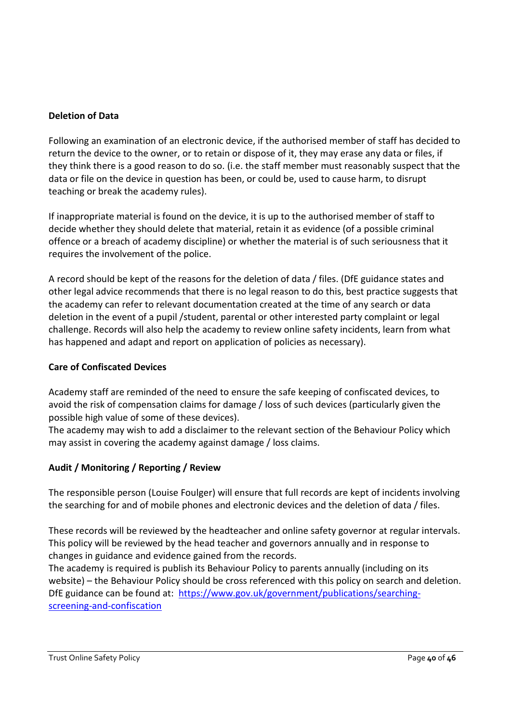#### **Deletion of Data**

Following an examination of an electronic device, if the authorised member of staff has decided to return the device to the owner, or to retain or dispose of it, they may erase any data or files, if they think there is a good reason to do so. (i.e. the staff member must reasonably suspect that the data or file on the device in question has been, or could be, used to cause harm, to disrupt teaching or break the academy rules).

If inappropriate material is found on the device, it is up to the authorised member of staff to decide whether they should delete that material, retain it as evidence (of a possible criminal offence or a breach of academy discipline) or whether the material is of such seriousness that it requires the involvement of the police.

A record should be kept of the reasons for the deletion of data / files. (DfE guidance states and other legal advice recommends that there is no legal reason to do this, best practice suggests that the academy can refer to relevant documentation created at the time of any search or data deletion in the event of a pupil /student, parental or other interested party complaint or legal challenge. Records will also help the academy to review online safety incidents, learn from what has happened and adapt and report on application of policies as necessary).

#### **Care of Confiscated Devices**

Academy staff are reminded of the need to ensure the safe keeping of confiscated devices, to avoid the risk of compensation claims for damage / loss of such devices (particularly given the possible high value of some of these devices).

The academy may wish to add a disclaimer to the relevant section of the Behaviour Policy which may assist in covering the academy against damage / loss claims.

#### **Audit / Monitoring / Reporting / Review**

The responsible person (Louise Foulger) will ensure that full records are kept of incidents involving the searching for and of mobile phones and electronic devices and the deletion of data / files.

These records will be reviewed by the headteacher and online safety governor at regular intervals. This policy will be reviewed by the head teacher and governors annually and in response to changes in guidance and evidence gained from the records.

The academy is required is publish its Behaviour Policy to parents annually (including on its website) – the Behaviour Policy should be cross referenced with this policy on search and deletion. DfE guidance can be found at: [https://www.gov.uk/government/publications/searching](https://www.gov.uk/government/publications/searching-screening-and-confiscation)[screening-and-confiscation](https://www.gov.uk/government/publications/searching-screening-and-confiscation)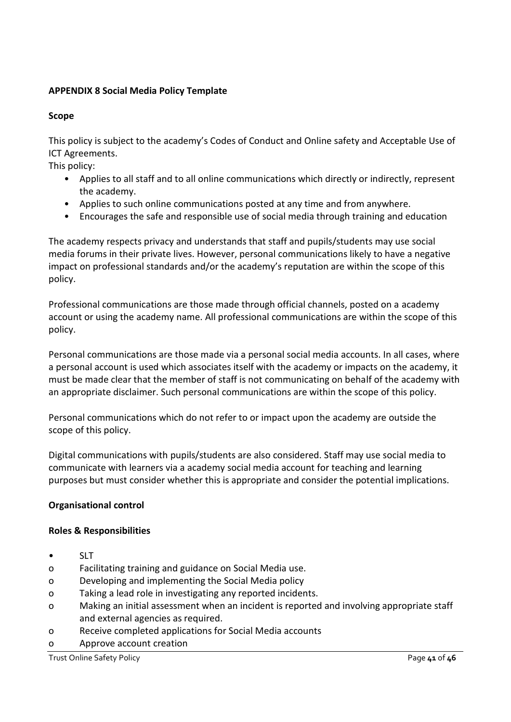#### **APPENDIX 8 Social Media Policy Template**

#### **Scope**

This policy is subject to the academy's Codes of Conduct and Online safety and Acceptable Use of ICT Agreements.

This policy:

- Applies to all staff and to all online communications which directly or indirectly, represent the academy.
- Applies to such online communications posted at any time and from anywhere.
- Encourages the safe and responsible use of social media through training and education

The academy respects privacy and understands that staff and pupils/students may use social media forums in their private lives. However, personal communications likely to have a negative impact on professional standards and/or the academy's reputation are within the scope of this policy.

Professional communications are those made through official channels, posted on a academy account or using the academy name. All professional communications are within the scope of this policy.

Personal communications are those made via a personal social media accounts. In all cases, where a personal account is used which associates itself with the academy or impacts on the academy, it must be made clear that the member of staff is not communicating on behalf of the academy with an appropriate disclaimer. Such personal communications are within the scope of this policy.

Personal communications which do not refer to or impact upon the academy are outside the scope of this policy.

Digital communications with pupils/students are also considered. Staff may use social media to communicate with learners via a academy social media account for teaching and learning purposes but must consider whether this is appropriate and consider the potential implications.

#### **Organisational control**

#### **Roles & Responsibilities**

- SLT
- o Facilitating training and guidance on Social Media use.
- o Developing and implementing the Social Media policy
- o Taking a lead role in investigating any reported incidents.
- o Making an initial assessment when an incident is reported and involving appropriate staff and external agencies as required.
- o Receive completed applications for Social Media accounts
- o Approve account creation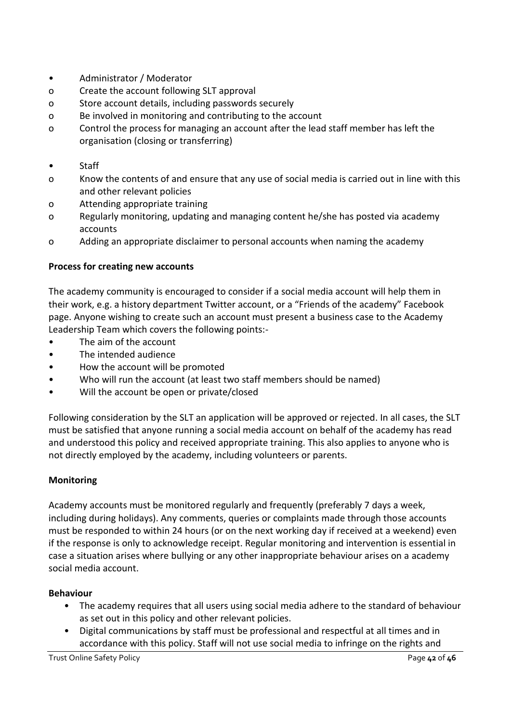- Administrator / Moderator
- o Create the account following SLT approval
- o Store account details, including passwords securely
- o Be involved in monitoring and contributing to the account
- o Control the process for managing an account after the lead staff member has left the organisation (closing or transferring)
- Staff
- o Know the contents of and ensure that any use of social media is carried out in line with this and other relevant policies
- o Attending appropriate training
- o Regularly monitoring, updating and managing content he/she has posted via academy accounts
- o Adding an appropriate disclaimer to personal accounts when naming the academy

#### **Process for creating new accounts**

The academy community is encouraged to consider if a social media account will help them in their work, e.g. a history department Twitter account, or a "Friends of the academy" Facebook page. Anyone wishing to create such an account must present a business case to the Academy Leadership Team which covers the following points:-

- The aim of the account
- The intended audience
- How the account will be promoted
- Who will run the account (at least two staff members should be named)
- Will the account be open or private/closed

Following consideration by the SLT an application will be approved or rejected. In all cases, the SLT must be satisfied that anyone running a social media account on behalf of the academy has read and understood this policy and received appropriate training. This also applies to anyone who is not directly employed by the academy, including volunteers or parents.

#### **Monitoring**

Academy accounts must be monitored regularly and frequently (preferably 7 days a week, including during holidays). Any comments, queries or complaints made through those accounts must be responded to within 24 hours (or on the next working day if received at a weekend) even if the response is only to acknowledge receipt. Regular monitoring and intervention is essential in case a situation arises where bullying or any other inappropriate behaviour arises on a academy social media account.

#### **Behaviour**

- The academy requires that all users using social media adhere to the standard of behaviour as set out in this policy and other relevant policies.
- Digital communications by staff must be professional and respectful at all times and in accordance with this policy. Staff will not use social media to infringe on the rights and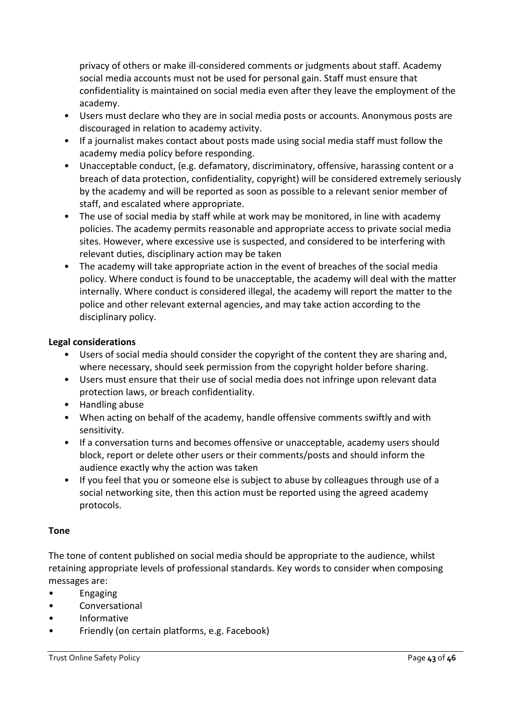privacy of others or make ill-considered comments or judgments about staff. Academy social media accounts must not be used for personal gain. Staff must ensure that confidentiality is maintained on social media even after they leave the employment of the academy.

- Users must declare who they are in social media posts or accounts. Anonymous posts are discouraged in relation to academy activity.
- If a journalist makes contact about posts made using social media staff must follow the academy media policy before responding.
- Unacceptable conduct, (e.g. defamatory, discriminatory, offensive, harassing content or a breach of data protection, confidentiality, copyright) will be considered extremely seriously by the academy and will be reported as soon as possible to a relevant senior member of staff, and escalated where appropriate.
- The use of social media by staff while at work may be monitored, in line with academy policies. The academy permits reasonable and appropriate access to private social media sites. However, where excessive use is suspected, and considered to be interfering with relevant duties, disciplinary action may be taken
- The academy will take appropriate action in the event of breaches of the social media policy. Where conduct is found to be unacceptable, the academy will deal with the matter internally. Where conduct is considered illegal, the academy will report the matter to the police and other relevant external agencies, and may take action according to the disciplinary policy.

#### **Legal considerations**

- Users of social media should consider the copyright of the content they are sharing and, where necessary, should seek permission from the copyright holder before sharing.
- Users must ensure that their use of social media does not infringe upon relevant data protection laws, or breach confidentiality.
- Handling abuse
- When acting on behalf of the academy, handle offensive comments swiftly and with sensitivity.
- If a conversation turns and becomes offensive or unacceptable, academy users should block, report or delete other users or their comments/posts and should inform the audience exactly why the action was taken
- If you feel that you or someone else is subject to abuse by colleagues through use of a social networking site, then this action must be reported using the agreed academy protocols.

#### **Tone**

The tone of content published on social media should be appropriate to the audience, whilst retaining appropriate levels of professional standards. Key words to consider when composing messages are:

- Engaging
- **Conversational**
- Informative
- Friendly (on certain platforms, e.g. Facebook)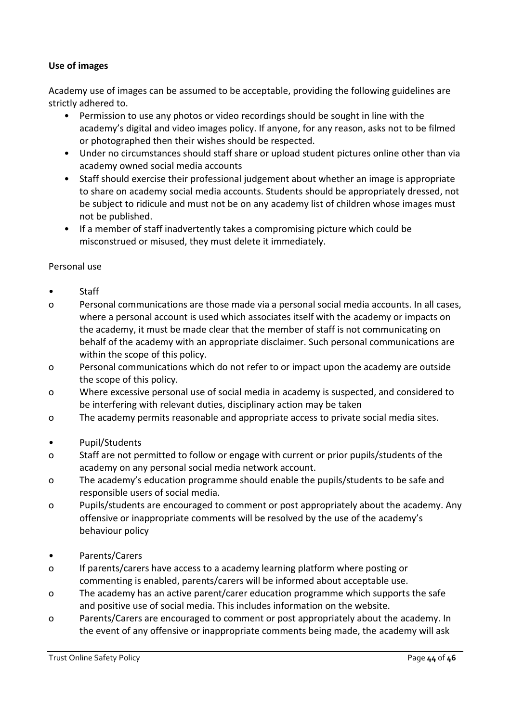#### **Use of images**

Academy use of images can be assumed to be acceptable, providing the following guidelines are strictly adhered to.

- Permission to use any photos or video recordings should be sought in line with the academy's digital and video images policy. If anyone, for any reason, asks not to be filmed or photographed then their wishes should be respected.
- Under no circumstances should staff share or upload student pictures online other than via academy owned social media accounts
- Staff should exercise their professional judgement about whether an image is appropriate to share on academy social media accounts. Students should be appropriately dressed, not be subject to ridicule and must not be on any academy list of children whose images must not be published.
- If a member of staff inadvertently takes a compromising picture which could be misconstrued or misused, they must delete it immediately.

#### Personal use

- Staff
- o Personal communications are those made via a personal social media accounts. In all cases, where a personal account is used which associates itself with the academy or impacts on the academy, it must be made clear that the member of staff is not communicating on behalf of the academy with an appropriate disclaimer. Such personal communications are within the scope of this policy.
- o Personal communications which do not refer to or impact upon the academy are outside the scope of this policy.
- o Where excessive personal use of social media in academy is suspected, and considered to be interfering with relevant duties, disciplinary action may be taken
- o The academy permits reasonable and appropriate access to private social media sites.
- Pupil/Students
- o Staff are not permitted to follow or engage with current or prior pupils/students of the academy on any personal social media network account.
- o The academy's education programme should enable the pupils/students to be safe and responsible users of social media.
- o Pupils/students are encouraged to comment or post appropriately about the academy. Any offensive or inappropriate comments will be resolved by the use of the academy's behaviour policy
- Parents/Carers
- o If parents/carers have access to a academy learning platform where posting or commenting is enabled, parents/carers will be informed about acceptable use.
- o The academy has an active parent/carer education programme which supports the safe and positive use of social media. This includes information on the website.
- o Parents/Carers are encouraged to comment or post appropriately about the academy. In the event of any offensive or inappropriate comments being made, the academy will ask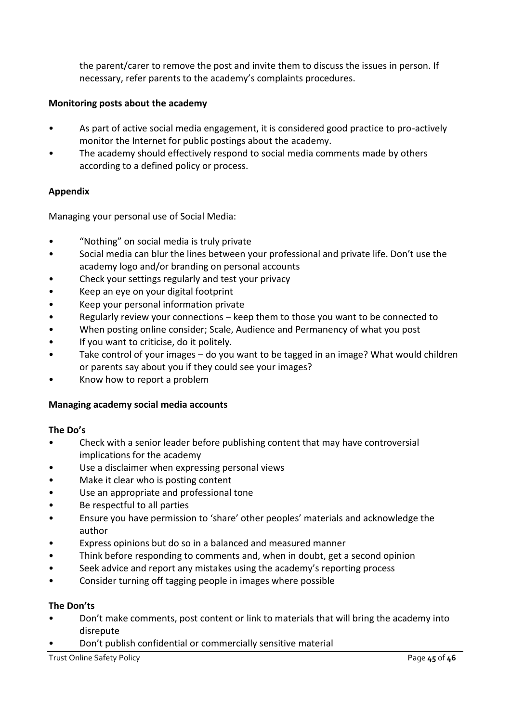the parent/carer to remove the post and invite them to discuss the issues in person. If necessary, refer parents to the academy's complaints procedures.

#### **Monitoring posts about the academy**

- As part of active social media engagement, it is considered good practice to pro-actively monitor the Internet for public postings about the academy.
- The academy should effectively respond to social media comments made by others according to a defined policy or process.

#### **Appendix**

Managing your personal use of Social Media:

- "Nothing" on social media is truly private
- Social media can blur the lines between your professional and private life. Don't use the academy logo and/or branding on personal accounts
- Check your settings regularly and test your privacy
- Keep an eye on your digital footprint
- Keep your personal information private
- Regularly review your connections keep them to those you want to be connected to
- When posting online consider; Scale, Audience and Permanency of what you post
- If you want to criticise, do it politely.
- Take control of your images do you want to be tagged in an image? What would children or parents say about you if they could see your images?
- Know how to report a problem

#### **Managing academy social media accounts**

#### **The Do's**

- Check with a senior leader before publishing content that may have controversial implications for the academy
- Use a disclaimer when expressing personal views
- Make it clear who is posting content
- Use an appropriate and professional tone
- Be respectful to all parties
- Ensure you have permission to 'share' other peoples' materials and acknowledge the author
- Express opinions but do so in a balanced and measured manner
- Think before responding to comments and, when in doubt, get a second opinion
- Seek advice and report any mistakes using the academy's reporting process
- Consider turning off tagging people in images where possible

#### **The Don'ts**

- Don't make comments, post content or link to materials that will bring the academy into disrepute
- Don't publish confidential or commercially sensitive material